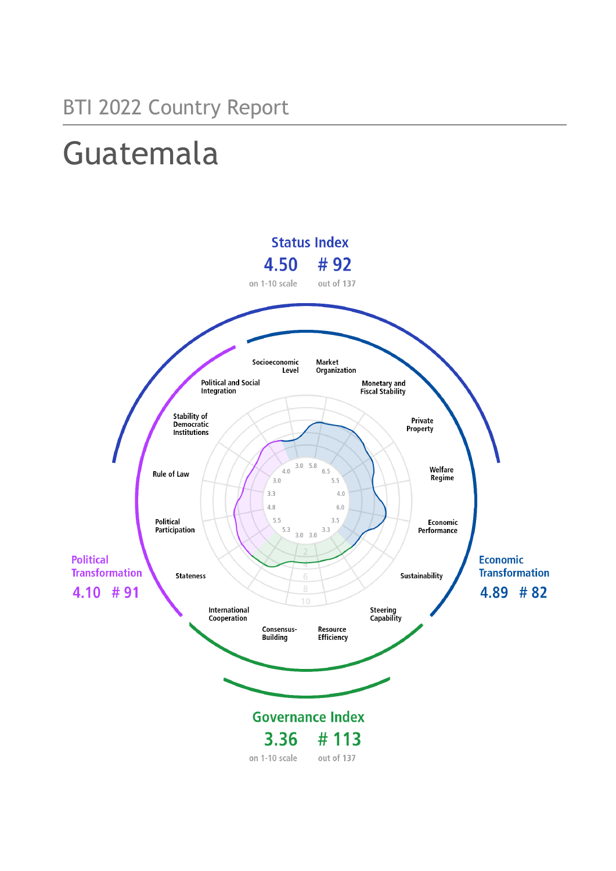## Guatemala

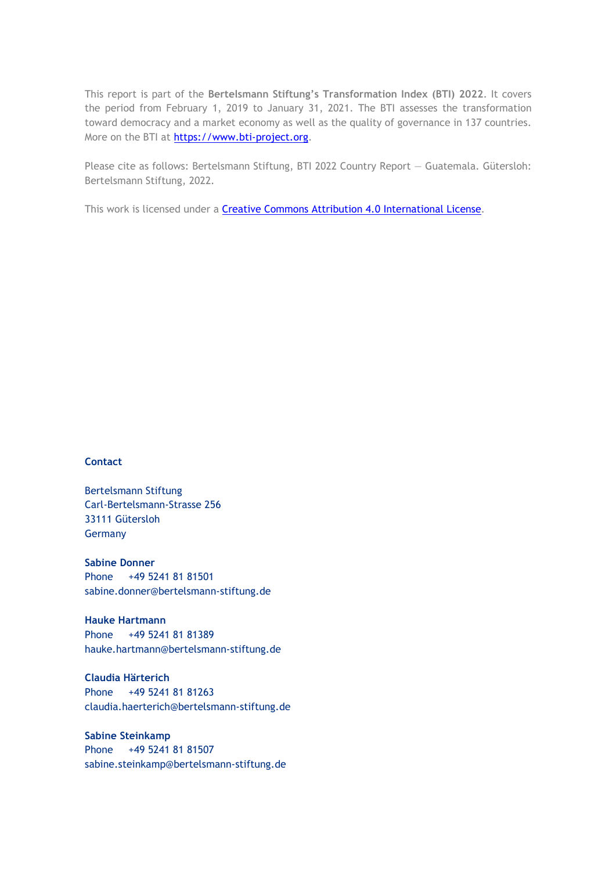This report is part of the **Bertelsmann Stiftung's Transformation Index (BTI) 2022**. It covers the period from February 1, 2019 to January 31, 2021. The BTI assesses the transformation toward democracy and a market economy as well as the quality of governance in 137 countries. More on the BTI at [https://www.bti-project.org.](https://www.bti-project.org/)

Please cite as follows: Bertelsmann Stiftung, BTI 2022 Country Report — Guatemala. Gütersloh: Bertelsmann Stiftung, 2022.

This work is licensed under a **Creative Commons Attribution 4.0 International License**.

#### **Contact**

Bertelsmann Stiftung Carl-Bertelsmann-Strasse 256 33111 Gütersloh Germany

**Sabine Donner** Phone +49 5241 81 81501 sabine.donner@bertelsmann-stiftung.de

**Hauke Hartmann** Phone +49 5241 81 81389 hauke.hartmann@bertelsmann-stiftung.de

**Claudia Härterich** Phone +49 5241 81 81263 claudia.haerterich@bertelsmann-stiftung.de

#### **Sabine Steinkamp** Phone +49 5241 81 81507 sabine.steinkamp@bertelsmann-stiftung.de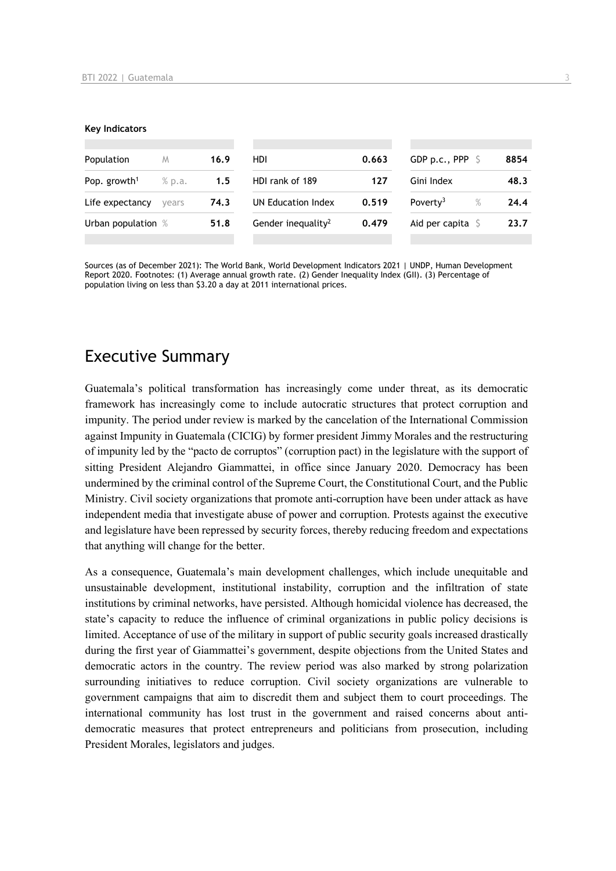#### **Key Indicators**

| Population                         | M     | 16.9 | HDI                            | 0.663 | GDP p.c., PPP $\ S$       |      | 8854 |
|------------------------------------|-------|------|--------------------------------|-------|---------------------------|------|------|
| Pop. growth <sup>1</sup><br>% p.a. |       | 1.5  | HDI rank of 189<br>127         |       | Gini Index                |      | 48.3 |
| Life expectancy                    | vears | 74.3 | UN Education Index             | 0.519 | Poverty <sup>3</sup>      | $\%$ | 24.4 |
| Urban population %                 |       | 51.8 | Gender inequality <sup>2</sup> | 0.479 | Aid per capita $\sqrt{5}$ |      | 23.7 |
|                                    |       |      |                                |       |                           |      |      |

Sources (as of December 2021): The World Bank, World Development Indicators 2021 | UNDP, Human Development Report 2020. Footnotes: (1) Average annual growth rate. (2) Gender Inequality Index (GII). (3) Percentage of population living on less than \$3.20 a day at 2011 international prices.

## Executive Summary

Guatemala's political transformation has increasingly come under threat, as its democratic framework has increasingly come to include autocratic structures that protect corruption and impunity. The period under review is marked by the cancelation of the International Commission against Impunity in Guatemala (CICIG) by former president Jimmy Morales and the restructuring of impunity led by the "pacto de corruptos" (corruption pact) in the legislature with the support of sitting President Alejandro Giammattei, in office since January 2020. Democracy has been undermined by the criminal control of the Supreme Court, the Constitutional Court, and the Public Ministry. Civil society organizations that promote anti-corruption have been under attack as have independent media that investigate abuse of power and corruption. Protests against the executive and legislature have been repressed by security forces, thereby reducing freedom and expectations that anything will change for the better.

As a consequence, Guatemala's main development challenges, which include unequitable and unsustainable development, institutional instability, corruption and the infiltration of state institutions by criminal networks, have persisted. Although homicidal violence has decreased, the state's capacity to reduce the influence of criminal organizations in public policy decisions is limited. Acceptance of use of the military in support of public security goals increased drastically during the first year of Giammattei's government, despite objections from the United States and democratic actors in the country. The review period was also marked by strong polarization surrounding initiatives to reduce corruption. Civil society organizations are vulnerable to government campaigns that aim to discredit them and subject them to court proceedings. The international community has lost trust in the government and raised concerns about antidemocratic measures that protect entrepreneurs and politicians from prosecution, including President Morales, legislators and judges.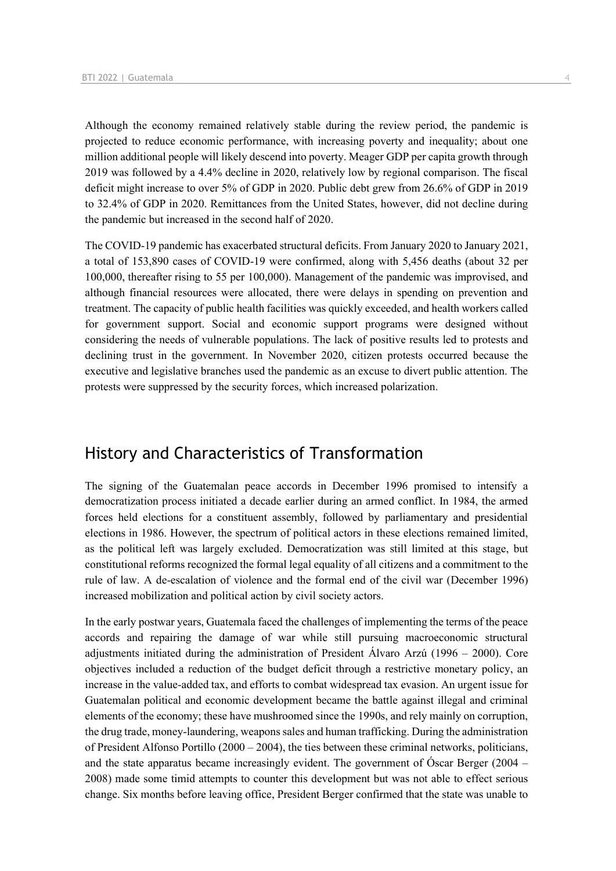Although the economy remained relatively stable during the review period, the pandemic is projected to reduce economic performance, with increasing poverty and inequality; about one million additional people will likely descend into poverty. Meager GDP per capita growth through 2019 was followed by a 4.4% decline in 2020, relatively low by regional comparison. The fiscal deficit might increase to over 5% of GDP in 2020. Public debt grew from 26.6% of GDP in 2019 to 32.4% of GDP in 2020. Remittances from the United States, however, did not decline during the pandemic but increased in the second half of 2020.

The COVID-19 pandemic has exacerbated structural deficits. From January 2020 to January 2021, a total of 153,890 cases of COVID-19 were confirmed, along with 5,456 deaths (about 32 per 100,000, thereafter rising to 55 per 100,000). Management of the pandemic was improvised, and although financial resources were allocated, there were delays in spending on prevention and treatment. The capacity of public health facilities was quickly exceeded, and health workers called for government support. Social and economic support programs were designed without considering the needs of vulnerable populations. The lack of positive results led to protests and declining trust in the government. In November 2020, citizen protests occurred because the executive and legislative branches used the pandemic as an excuse to divert public attention. The protests were suppressed by the security forces, which increased polarization.

## History and Characteristics of Transformation

The signing of the Guatemalan peace accords in December 1996 promised to intensify a democratization process initiated a decade earlier during an armed conflict. In 1984, the armed forces held elections for a constituent assembly, followed by parliamentary and presidential elections in 1986. However, the spectrum of political actors in these elections remained limited, as the political left was largely excluded. Democratization was still limited at this stage, but constitutional reforms recognized the formal legal equality of all citizens and a commitment to the rule of law. A de-escalation of violence and the formal end of the civil war (December 1996) increased mobilization and political action by civil society actors.

In the early postwar years, Guatemala faced the challenges of implementing the terms of the peace accords and repairing the damage of war while still pursuing macroeconomic structural adjustments initiated during the administration of President Álvaro Arzú (1996 – 2000). Core objectives included a reduction of the budget deficit through a restrictive monetary policy, an increase in the value-added tax, and efforts to combat widespread tax evasion. An urgent issue for Guatemalan political and economic development became the battle against illegal and criminal elements of the economy; these have mushroomed since the 1990s, and rely mainly on corruption, the drug trade, money-laundering, weapons sales and human trafficking. During the administration of President Alfonso Portillo (2000 – 2004), the ties between these criminal networks, politicians, and the state apparatus became increasingly evident. The government of Óscar Berger (2004 – 2008) made some timid attempts to counter this development but was not able to effect serious change. Six months before leaving office, President Berger confirmed that the state was unable to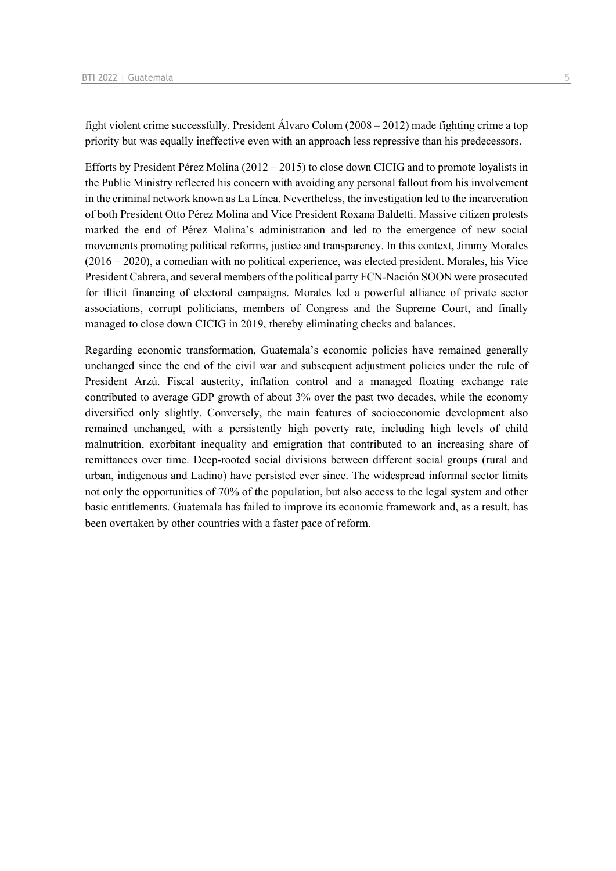fight violent crime successfully. President Álvaro Colom (2008 – 2012) made fighting crime a top priority but was equally ineffective even with an approach less repressive than his predecessors.

Efforts by President Pérez Molina (2012 – 2015) to close down CICIG and to promote loyalists in the Public Ministry reflected his concern with avoiding any personal fallout from his involvement in the criminal network known as La Línea. Nevertheless, the investigation led to the incarceration of both President Otto Pérez Molina and Vice President Roxana Baldetti. Massive citizen protests marked the end of Pérez Molina's administration and led to the emergence of new social movements promoting political reforms, justice and transparency. In this context, Jimmy Morales (2016 – 2020), a comedian with no political experience, was elected president. Morales, his Vice President Cabrera, and several members of the political party FCN-Nación SOON were prosecuted for illicit financing of electoral campaigns. Morales led a powerful alliance of private sector associations, corrupt politicians, members of Congress and the Supreme Court, and finally managed to close down CICIG in 2019, thereby eliminating checks and balances.

Regarding economic transformation, Guatemala's economic policies have remained generally unchanged since the end of the civil war and subsequent adjustment policies under the rule of President Arzú. Fiscal austerity, inflation control and a managed floating exchange rate contributed to average GDP growth of about 3% over the past two decades, while the economy diversified only slightly. Conversely, the main features of socioeconomic development also remained unchanged, with a persistently high poverty rate, including high levels of child malnutrition, exorbitant inequality and emigration that contributed to an increasing share of remittances over time. Deep-rooted social divisions between different social groups (rural and urban, indigenous and Ladino) have persisted ever since. The widespread informal sector limits not only the opportunities of 70% of the population, but also access to the legal system and other basic entitlements. Guatemala has failed to improve its economic framework and, as a result, has been overtaken by other countries with a faster pace of reform.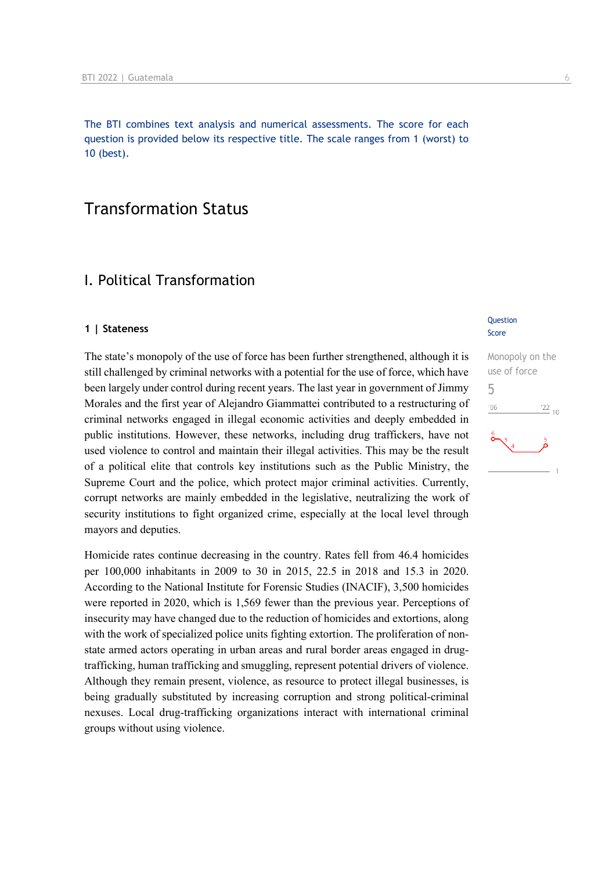The BTI combines text analysis and numerical assessments. The score for each question is provided below its respective title. The scale ranges from 1 (worst) to 10 (best).

## Transformation Status

## I. Political Transformation

#### **1 | Stateness**

The state's monopoly of the use of force has been further strengthened, although it is still challenged by criminal networks with a potential for the use of force, which have been largely under control during recent years. The last year in government of Jimmy Morales and the first year of Alejandro Giammattei contributed to a restructuring of criminal networks engaged in illegal economic activities and deeply embedded in public institutions. However, these networks, including drug traffickers, have not used violence to control and maintain their illegal activities. This may be the result of a political elite that controls key institutions such as the Public Ministry, the Supreme Court and the police, which protect major criminal activities. Currently, corrupt networks are mainly embedded in the legislative, neutralizing the work of security institutions to fight organized crime, especially at the local level through mayors and deputies.

Homicide rates continue decreasing in the country. Rates fell from 46.4 homicides per 100,000 inhabitants in 2009 to 30 in 2015, 22.5 in 2018 and 15.3 in 2020. According to the National Institute for Forensic Studies (INACIF), 3,500 homicides were reported in 2020, which is 1,569 fewer than the previous year. Perceptions of insecurity may have changed due to the reduction of homicides and extortions, along with the work of specialized police units fighting extortion. The proliferation of nonstate armed actors operating in urban areas and rural border areas engaged in drugtrafficking, human trafficking and smuggling, represent potential drivers of violence. Although they remain present, violence, as resource to protect illegal businesses, is being gradually substituted by increasing corruption and strong political-criminal nexuses. Local drug-trafficking organizations interact with international criminal groups without using violence.

#### **Question** Score

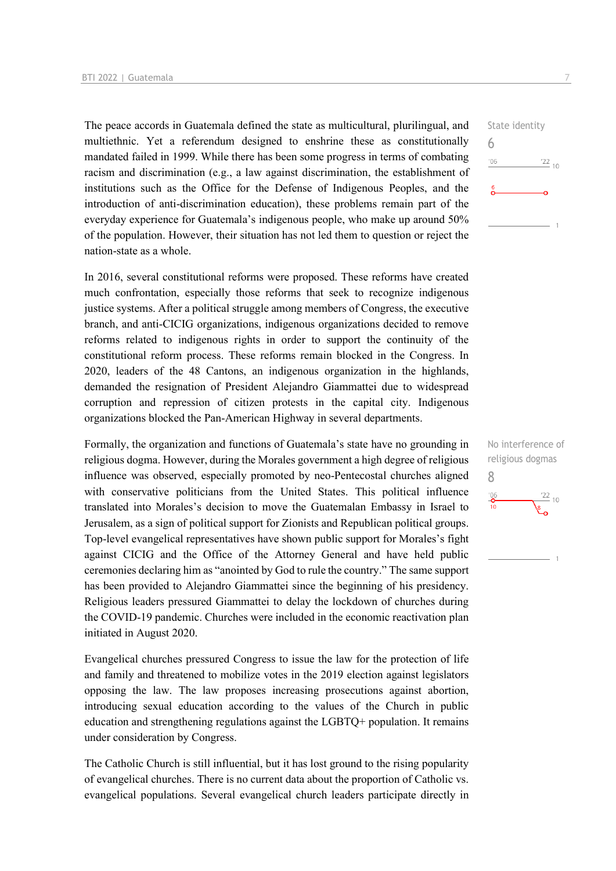The peace accords in Guatemala defined the state as multicultural, plurilingual, and multiethnic. Yet a referendum designed to enshrine these as constitutionally mandated failed in 1999. While there has been some progress in terms of combating racism and discrimination (e.g., a law against discrimination, the establishment of institutions such as the Office for the Defense of Indigenous Peoples, and the introduction of anti-discrimination education), these problems remain part of the everyday experience for Guatemala's indigenous people, who make up around 50% of the population. However, their situation has not led them to question or reject the nation-state as a whole.

In 2016, several constitutional reforms were proposed. These reforms have created much confrontation, especially those reforms that seek to recognize indigenous justice systems. After a political struggle among members of Congress, the executive branch, and anti-CICIG organizations, indigenous organizations decided to remove reforms related to indigenous rights in order to support the continuity of the constitutional reform process. These reforms remain blocked in the Congress. In 2020, leaders of the 48 Cantons, an indigenous organization in the highlands, demanded the resignation of President Alejandro Giammattei due to widespread corruption and repression of citizen protests in the capital city. Indigenous organizations blocked the Pan-American Highway in several departments.

Formally, the organization and functions of Guatemala's state have no grounding in religious dogma. However, during the Morales government a high degree of religious influence was observed, especially promoted by neo-Pentecostal churches aligned with conservative politicians from the United States. This political influence translated into Morales's decision to move the Guatemalan Embassy in Israel to Jerusalem, as a sign of political support for Zionists and Republican political groups. Top-level evangelical representatives have shown public support for Morales's fight against CICIG and the Office of the Attorney General and have held public ceremonies declaring him as "anointed by God to rule the country." The same support has been provided to Alejandro Giammattei since the beginning of his presidency. Religious leaders pressured Giammattei to delay the lockdown of churches during the COVID-19 pandemic. Churches were included in the economic reactivation plan initiated in August 2020.

Evangelical churches pressured Congress to issue the law for the protection of life and family and threatened to mobilize votes in the 2019 election against legislators opposing the law. The law proposes increasing prosecutions against abortion, introducing sexual education according to the values of the Church in public education and strengthening regulations against the LGBTQ+ population. It remains under consideration by Congress.

The Catholic Church is still influential, but it has lost ground to the rising popularity of evangelical churches. There is no current data about the proportion of Catholic vs. evangelical populations. Several evangelical church leaders participate directly in

State identity 6  $\frac{22}{10}$  $106$ 

No interference of religious dogmas 8 $\frac{106}{10}$  $\frac{22}{10}$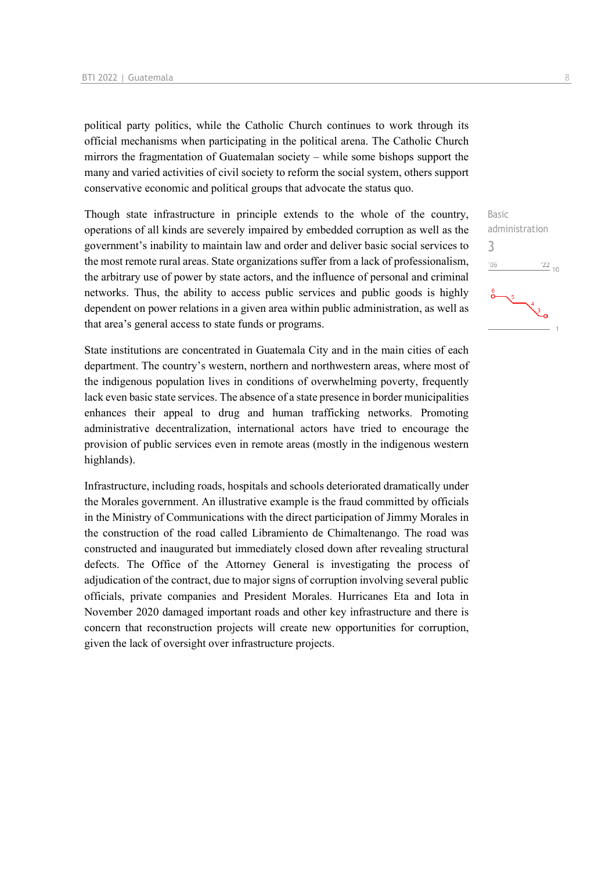political party politics, while the Catholic Church continues to work through its official mechanisms when participating in the political arena. The Catholic Church mirrors the fragmentation of Guatemalan society – while some bishops support the many and varied activities of civil society to reform the social system, others support conservative economic and political groups that advocate the status quo.

Though state infrastructure in principle extends to the whole of the country, operations of all kinds are severely impaired by embedded corruption as well as the government's inability to maintain law and order and deliver basic social services to the most remote rural areas. State organizations suffer from a lack of professionalism, the arbitrary use of power by state actors, and the influence of personal and criminal networks. Thus, the ability to access public services and public goods is highly dependent on power relations in a given area within public administration, as well as that area's general access to state funds or programs.

State institutions are concentrated in Guatemala City and in the main cities of each department. The country's western, northern and northwestern areas, where most of the indigenous population lives in conditions of overwhelming poverty, frequently lack even basic state services. The absence of a state presence in border municipalities enhances their appeal to drug and human trafficking networks. Promoting administrative decentralization, international actors have tried to encourage the provision of public services even in remote areas (mostly in the indigenous western highlands).

Infrastructure, including roads, hospitals and schools deteriorated dramatically under the Morales government. An illustrative example is the fraud committed by officials in the Ministry of Communications with the direct participation of Jimmy Morales in the construction of the road called Libramiento de Chimaltenango. The road was constructed and inaugurated but immediately closed down after revealing structural defects. The Office of the Attorney General is investigating the process of adjudication of the contract, due to major signs of corruption involving several public officials, private companies and President Morales. Hurricanes Eta and Iota in November 2020 damaged important roads and other key infrastructure and there is concern that reconstruction projects will create new opportunities for corruption, given the lack of oversight over infrastructure projects.

Basic administration 3 $\frac{22}{10}$  $^{\prime}06$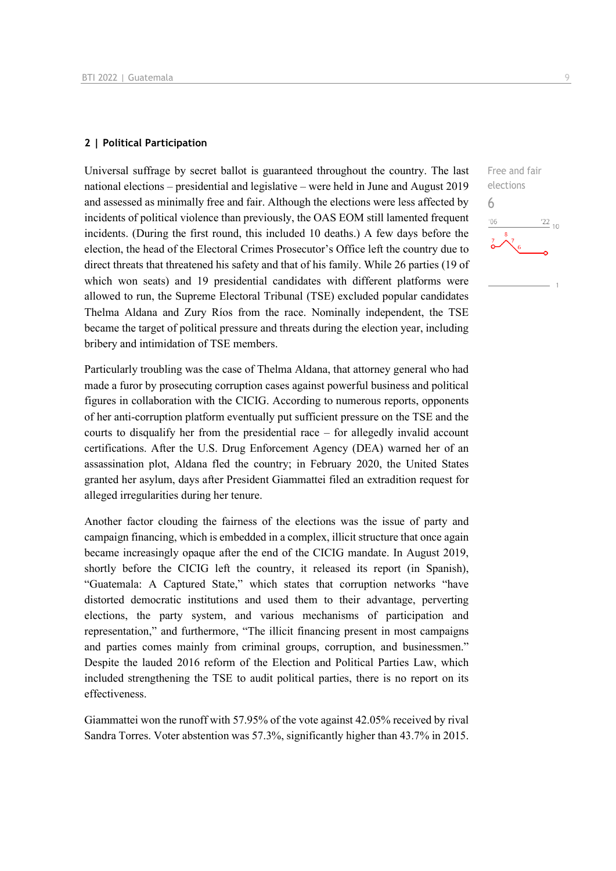#### **2 | Political Participation**

Universal suffrage by secret ballot is guaranteed throughout the country. The last national elections – presidential and legislative – were held in June and August 2019 and assessed as minimally free and fair. Although the elections were less affected by incidents of political violence than previously, the OAS EOM still lamented frequent incidents. (During the first round, this included 10 deaths.) A few days before the election, the head of the Electoral Crimes Prosecutor's Office left the country due to direct threats that threatened his safety and that of his family. While 26 parties (19 of which won seats) and 19 presidential candidates with different platforms were allowed to run, the Supreme Electoral Tribunal (TSE) excluded popular candidates Thelma Aldana and Zury Ríos from the race. Nominally independent, the TSE became the target of political pressure and threats during the election year, including bribery and intimidation of TSE members.

Particularly troubling was the case of Thelma Aldana, that attorney general who had made a furor by prosecuting corruption cases against powerful business and political figures in collaboration with the CICIG. According to numerous reports, opponents of her anti-corruption platform eventually put sufficient pressure on the TSE and the courts to disqualify her from the presidential race – for allegedly invalid account certifications. After the U.S. Drug Enforcement Agency (DEA) warned her of an assassination plot, Aldana fled the country; in February 2020, the United States granted her asylum, days after President Giammattei filed an extradition request for alleged irregularities during her tenure.

Another factor clouding the fairness of the elections was the issue of party and campaign financing, which is embedded in a complex, illicit structure that once again became increasingly opaque after the end of the CICIG mandate. In August 2019, shortly before the CICIG left the country, it released its report (in Spanish), "Guatemala: A Captured State," which states that corruption networks "have distorted democratic institutions and used them to their advantage, perverting elections, the party system, and various mechanisms of participation and representation," and furthermore, "The illicit financing present in most campaigns and parties comes mainly from criminal groups, corruption, and businessmen." Despite the lauded 2016 reform of the Election and Political Parties Law, which included strengthening the TSE to audit political parties, there is no report on its effectiveness.

Giammattei won the runoff with 57.95% of the vote against 42.05% received by rival Sandra Torres. Voter abstention was 57.3%, significantly higher than 43.7% in 2015.

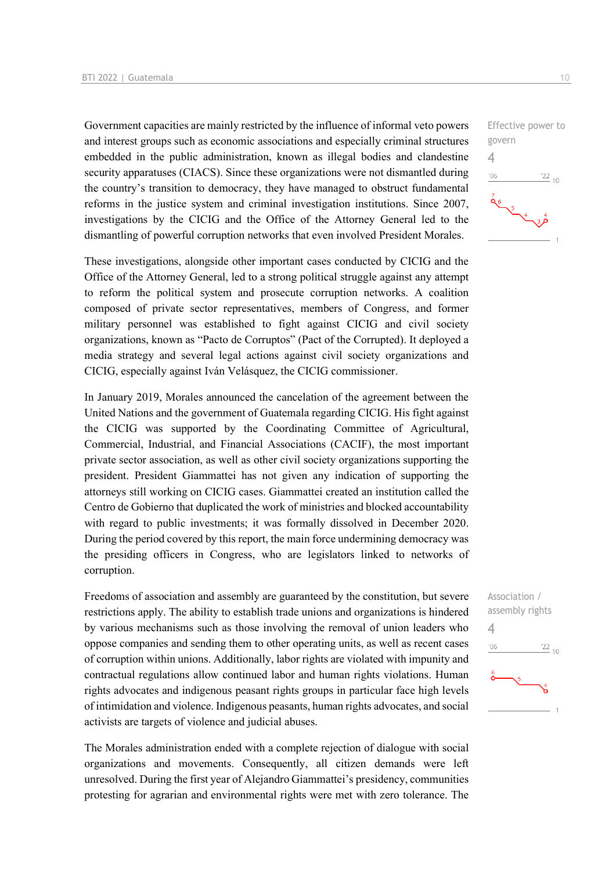Government capacities are mainly restricted by the influence of informal veto powers and interest groups such as economic associations and especially criminal structures embedded in the public administration, known as illegal bodies and clandestine security apparatuses (CIACS). Since these organizations were not dismantled during the country's transition to democracy, they have managed to obstruct fundamental reforms in the justice system and criminal investigation institutions. Since 2007, investigations by the CICIG and the Office of the Attorney General led to the dismantling of powerful corruption networks that even involved President Morales.

These investigations, alongside other important cases conducted by CICIG and the Office of the Attorney General, led to a strong political struggle against any attempt to reform the political system and prosecute corruption networks. A coalition composed of private sector representatives, members of Congress, and former military personnel was established to fight against CICIG and civil society organizations, known as "Pacto de Corruptos" (Pact of the Corrupted). It deployed a media strategy and several legal actions against civil society organizations and CICIG, especially against Iván Velásquez, the CICIG commissioner.

In January 2019, Morales announced the cancelation of the agreement between the United Nations and the government of Guatemala regarding CICIG. His fight against the CICIG was supported by the Coordinating Committee of Agricultural, Commercial, Industrial, and Financial Associations (CACIF), the most important private sector association, as well as other civil society organizations supporting the president. President Giammattei has not given any indication of supporting the attorneys still working on CICIG cases. Giammattei created an institution called the Centro de Gobierno that duplicated the work of ministries and blocked accountability with regard to public investments; it was formally dissolved in December 2020. During the period covered by this report, the main force undermining democracy was the presiding officers in Congress, who are legislators linked to networks of corruption.

Freedoms of association and assembly are guaranteed by the constitution, but severe restrictions apply. The ability to establish trade unions and organizations is hindered by various mechanisms such as those involving the removal of union leaders who oppose companies and sending them to other operating units, as well as recent cases of corruption within unions. Additionally, labor rights are violated with impunity and contractual regulations allow continued labor and human rights violations. Human rights advocates and indigenous peasant rights groups in particular face high levels of intimidation and violence. Indigenous peasants, human rights advocates, and social activists are targets of violence and judicial abuses.

The Morales administration ended with a complete rejection of dialogue with social organizations and movements. Consequently, all citizen demands were left unresolved. During the first year of Alejandro Giammattei's presidency, communities protesting for agrarian and environmental rights were met with zero tolerance. The



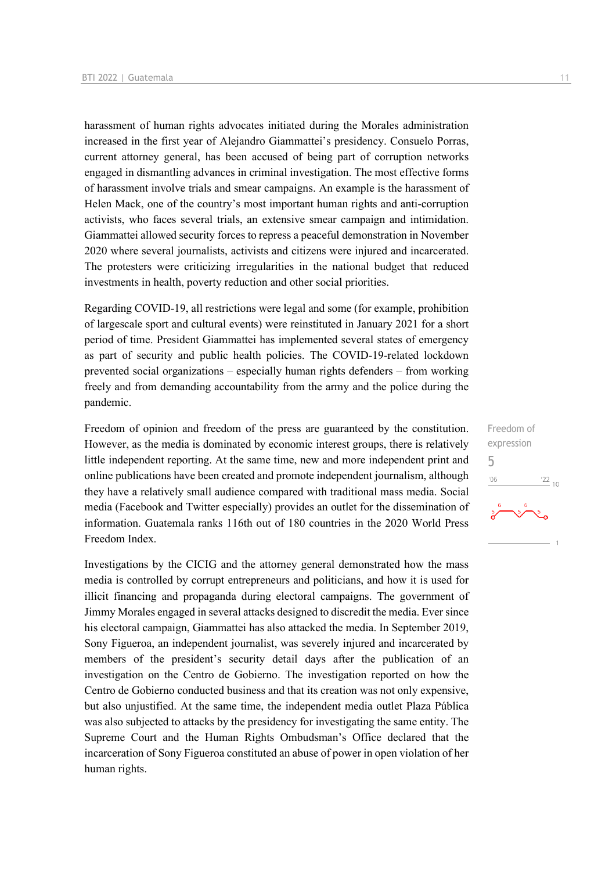harassment of human rights advocates initiated during the Morales administration increased in the first year of Alejandro Giammattei's presidency. Consuelo Porras, current attorney general, has been accused of being part of corruption networks engaged in dismantling advances in criminal investigation. The most effective forms of harassment involve trials and smear campaigns. An example is the harassment of Helen Mack, one of the country's most important human rights and anti-corruption activists, who faces several trials, an extensive smear campaign and intimidation. Giammattei allowed security forces to repress a peaceful demonstration in November 2020 where several journalists, activists and citizens were injured and incarcerated. The protesters were criticizing irregularities in the national budget that reduced investments in health, poverty reduction and other social priorities.

Regarding COVID-19, all restrictions were legal and some (for example, prohibition of largescale sport and cultural events) were reinstituted in January 2021 for a short period of time. President Giammattei has implemented several states of emergency as part of security and public health policies. The COVID-19-related lockdown prevented social organizations – especially human rights defenders – from working freely and from demanding accountability from the army and the police during the pandemic.

Freedom of opinion and freedom of the press are guaranteed by the constitution. However, as the media is dominated by economic interest groups, there is relatively little independent reporting. At the same time, new and more independent print and online publications have been created and promote independent journalism, although they have a relatively small audience compared with traditional mass media. Social media (Facebook and Twitter especially) provides an outlet for the dissemination of information. Guatemala ranks 116th out of 180 countries in the 2020 World Press Freedom Index.

Investigations by the CICIG and the attorney general demonstrated how the mass media is controlled by corrupt entrepreneurs and politicians, and how it is used for illicit financing and propaganda during electoral campaigns. The government of Jimmy Morales engaged in several attacks designed to discredit the media. Ever since his electoral campaign, Giammattei has also attacked the media. In September 2019, Sony Figueroa, an independent journalist, was severely injured and incarcerated by members of the president's security detail days after the publication of an investigation on the Centro de Gobierno. The investigation reported on how the Centro de Gobierno conducted business and that its creation was not only expensive, but also unjustified. At the same time, the independent media outlet Plaza Pública was also subjected to attacks by the presidency for investigating the same entity. The Supreme Court and the Human Rights Ombudsman's Office declared that the incarceration of Sony Figueroa constituted an abuse of power in open violation of her human rights.

Freedom of expression 5 $\frac{22}{10}$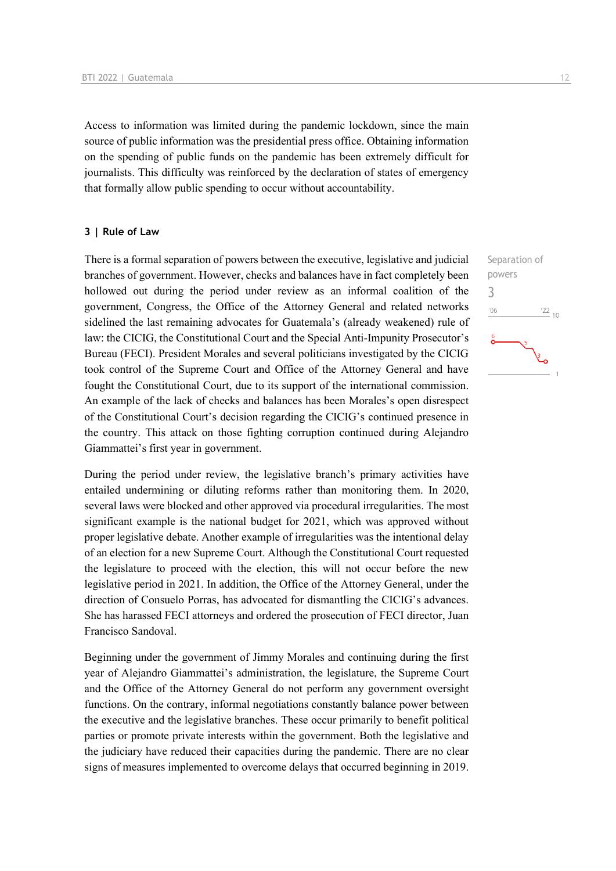Access to information was limited during the pandemic lockdown, since the main source of public information was the presidential press office. Obtaining information on the spending of public funds on the pandemic has been extremely difficult for journalists. This difficulty was reinforced by the declaration of states of emergency that formally allow public spending to occur without accountability.

#### **3 | Rule of Law**

There is a formal separation of powers between the executive, legislative and judicial branches of government. However, checks and balances have in fact completely been hollowed out during the period under review as an informal coalition of the government, Congress, the Office of the Attorney General and related networks sidelined the last remaining advocates for Guatemala's (already weakened) rule of law: the CICIG, the Constitutional Court and the Special Anti-Impunity Prosecutor's Bureau (FECI). President Morales and several politicians investigated by the CICIG took control of the Supreme Court and Office of the Attorney General and have fought the Constitutional Court, due to its support of the international commission. An example of the lack of checks and balances has been Morales's open disrespect of the Constitutional Court's decision regarding the CICIG's continued presence in the country. This attack on those fighting corruption continued during Alejandro Giammattei's first year in government.

During the period under review, the legislative branch's primary activities have entailed undermining or diluting reforms rather than monitoring them. In 2020, several laws were blocked and other approved via procedural irregularities. The most significant example is the national budget for 2021, which was approved without proper legislative debate. Another example of irregularities was the intentional delay of an election for a new Supreme Court. Although the Constitutional Court requested the legislature to proceed with the election, this will not occur before the new legislative period in 2021. In addition, the Office of the Attorney General, under the direction of Consuelo Porras, has advocated for dismantling the CICIG's advances. She has harassed FECI attorneys and ordered the prosecution of FECI director, Juan Francisco Sandoval.

Beginning under the government of Jimmy Morales and continuing during the first year of Alejandro Giammattei's administration, the legislature, the Supreme Court and the Office of the Attorney General do not perform any government oversight functions. On the contrary, informal negotiations constantly balance power between the executive and the legislative branches. These occur primarily to benefit political parties or promote private interests within the government. Both the legislative and the judiciary have reduced their capacities during the pandemic. There are no clear signs of measures implemented to overcome delays that occurred beginning in 2019.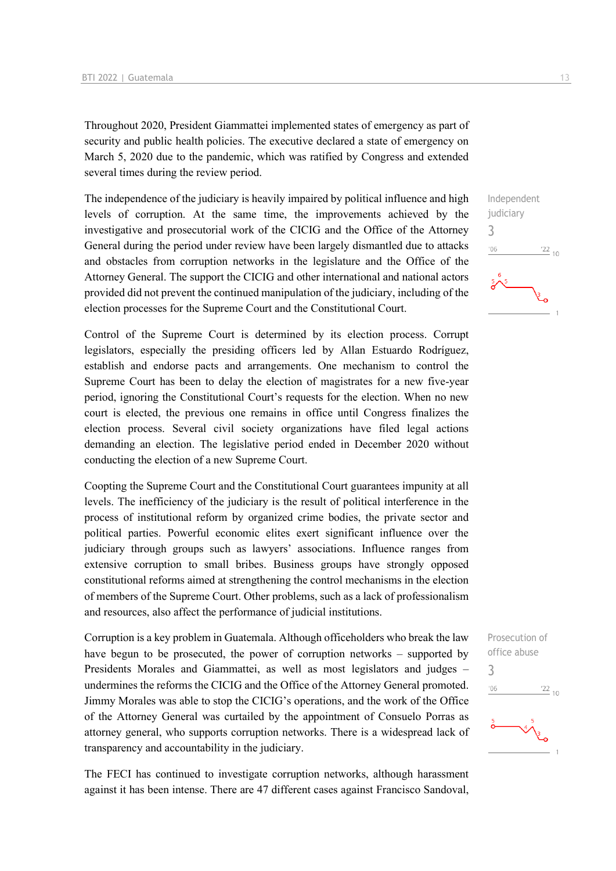Throughout 2020, President Giammattei implemented states of emergency as part of security and public health policies. The executive declared a state of emergency on March 5, 2020 due to the pandemic, which was ratified by Congress and extended several times during the review period.

The independence of the judiciary is heavily impaired by political influence and high levels of corruption. At the same time, the improvements achieved by the investigative and prosecutorial work of the CICIG and the Office of the Attorney General during the period under review have been largely dismantled due to attacks and obstacles from corruption networks in the legislature and the Office of the Attorney General. The support the CICIG and other international and national actors provided did not prevent the continued manipulation of the judiciary, including of the election processes for the Supreme Court and the Constitutional Court.

Control of the Supreme Court is determined by its election process. Corrupt legislators, especially the presiding officers led by Allan Estuardo Rodríguez, establish and endorse pacts and arrangements. One mechanism to control the Supreme Court has been to delay the election of magistrates for a new five-year period, ignoring the Constitutional Court's requests for the election. When no new court is elected, the previous one remains in office until Congress finalizes the election process. Several civil society organizations have filed legal actions demanding an election. The legislative period ended in December 2020 without conducting the election of a new Supreme Court.

Coopting the Supreme Court and the Constitutional Court guarantees impunity at all levels. The inefficiency of the judiciary is the result of political interference in the process of institutional reform by organized crime bodies, the private sector and political parties. Powerful economic elites exert significant influence over the judiciary through groups such as lawyers' associations. Influence ranges from extensive corruption to small bribes. Business groups have strongly opposed constitutional reforms aimed at strengthening the control mechanisms in the election of members of the Supreme Court. Other problems, such as a lack of professionalism and resources, also affect the performance of judicial institutions.

Corruption is a key problem in Guatemala. Although officeholders who break the law have begun to be prosecuted, the power of corruption networks – supported by Presidents Morales and Giammattei, as well as most legislators and judges – undermines the reforms the CICIG and the Office of the Attorney General promoted. Jimmy Morales was able to stop the CICIG's operations, and the work of the Office of the Attorney General was curtailed by the appointment of Consuelo Porras as attorney general, who supports corruption networks. There is a widespread lack of transparency and accountability in the judiciary.

The FECI has continued to investigate corruption networks, although harassment against it has been intense. There are 47 different cases against Francisco Sandoval,



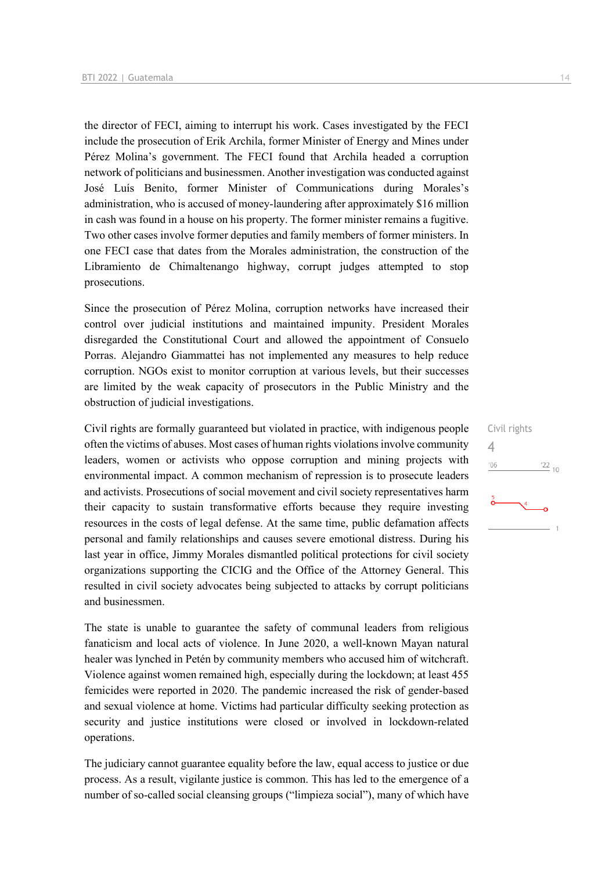the director of FECI, aiming to interrupt his work. Cases investigated by the FECI include the prosecution of Erik Archila, former Minister of Energy and Mines under Pérez Molina's government. The FECI found that Archila headed a corruption network of politicians and businessmen. Another investigation was conducted against José Luís Benito, former Minister of Communications during Morales's administration, who is accused of money-laundering after approximately \$16 million in cash was found in a house on his property. The former minister remains a fugitive. Two other cases involve former deputies and family members of former ministers. In one FECI case that dates from the Morales administration, the construction of the Libramiento de Chimaltenango highway, corrupt judges attempted to stop prosecutions.

Since the prosecution of Pérez Molina, corruption networks have increased their control over judicial institutions and maintained impunity. President Morales disregarded the Constitutional Court and allowed the appointment of Consuelo Porras. Alejandro Giammattei has not implemented any measures to help reduce corruption. NGOs exist to monitor corruption at various levels, but their successes are limited by the weak capacity of prosecutors in the Public Ministry and the obstruction of judicial investigations.

Civil rights are formally guaranteed but violated in practice, with indigenous people often the victims of abuses. Most cases of human rights violations involve community leaders, women or activists who oppose corruption and mining projects with environmental impact. A common mechanism of repression is to prosecute leaders and activists. Prosecutions of social movement and civil society representatives harm their capacity to sustain transformative efforts because they require investing resources in the costs of legal defense. At the same time, public defamation affects personal and family relationships and causes severe emotional distress. During his last year in office, Jimmy Morales dismantled political protections for civil society organizations supporting the CICIG and the Office of the Attorney General. This resulted in civil society advocates being subjected to attacks by corrupt politicians and businessmen.

The state is unable to guarantee the safety of communal leaders from religious fanaticism and local acts of violence. In June 2020, a well-known Mayan natural healer was lynched in Petén by community members who accused him of witchcraft. Violence against women remained high, especially during the lockdown; at least 455 femicides were reported in 2020. The pandemic increased the risk of gender-based and sexual violence at home. Victims had particular difficulty seeking protection as security and justice institutions were closed or involved in lockdown-related operations.

The judiciary cannot guarantee equality before the law, equal access to justice or due process. As a result, vigilante justice is common. This has led to the emergence of a number of so-called social cleansing groups ("limpieza social"), many of which have Civil rights 4 $\frac{22}{10}$  $^{\prime}06$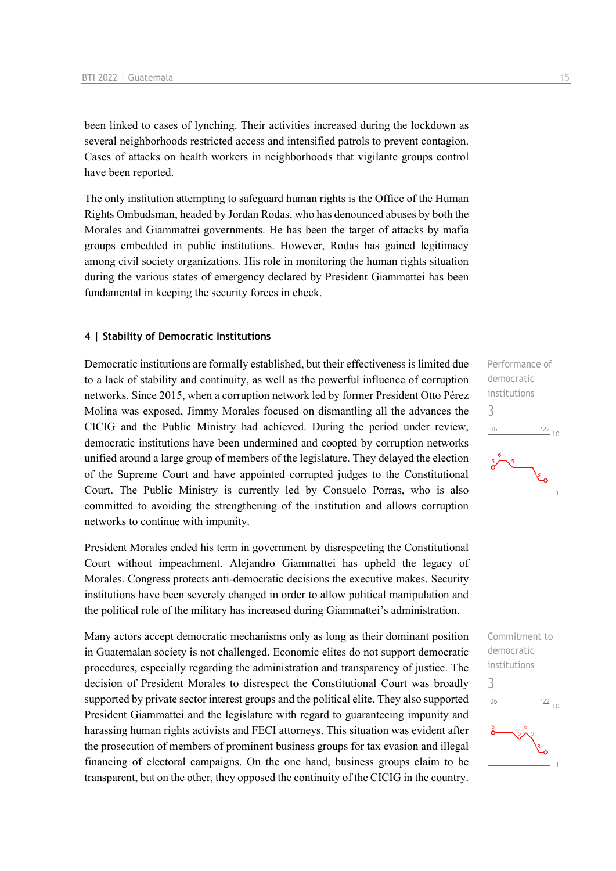been linked to cases of lynching. Their activities increased during the lockdown as several neighborhoods restricted access and intensified patrols to prevent contagion. Cases of attacks on health workers in neighborhoods that vigilante groups control have been reported.

The only institution attempting to safeguard human rights is the Office of the Human Rights Ombudsman, headed by Jordan Rodas, who has denounced abuses by both the Morales and Giammattei governments. He has been the target of attacks by mafia groups embedded in public institutions. However, Rodas has gained legitimacy among civil society organizations. His role in monitoring the human rights situation during the various states of emergency declared by President Giammattei has been fundamental in keeping the security forces in check.

#### **4 | Stability of Democratic Institutions**

Democratic institutions are formally established, but their effectiveness is limited due to a lack of stability and continuity, as well as the powerful influence of corruption networks. Since 2015, when a corruption network led by former President Otto Pérez Molina was exposed, Jimmy Morales focused on dismantling all the advances the CICIG and the Public Ministry had achieved. During the period under review, democratic institutions have been undermined and coopted by corruption networks unified around a large group of members of the legislature. They delayed the election of the Supreme Court and have appointed corrupted judges to the Constitutional Court. The Public Ministry is currently led by Consuelo Porras, who is also committed to avoiding the strengthening of the institution and allows corruption networks to continue with impunity.

President Morales ended his term in government by disrespecting the Constitutional Court without impeachment. Alejandro Giammattei has upheld the legacy of Morales. Congress protects anti-democratic decisions the executive makes. Security institutions have been severely changed in order to allow political manipulation and the political role of the military has increased during Giammattei's administration.

Many actors accept democratic mechanisms only as long as their dominant position in Guatemalan society is not challenged. Economic elites do not support democratic procedures, especially regarding the administration and transparency of justice. The decision of President Morales to disrespect the Constitutional Court was broadly supported by private sector interest groups and the political elite. They also supported President Giammattei and the legislature with regard to guaranteeing impunity and harassing human rights activists and FECI attorneys. This situation was evident after the prosecution of members of prominent business groups for tax evasion and illegal financing of electoral campaigns. On the one hand, business groups claim to be transparent, but on the other, they opposed the continuity of the CICIG in the country.



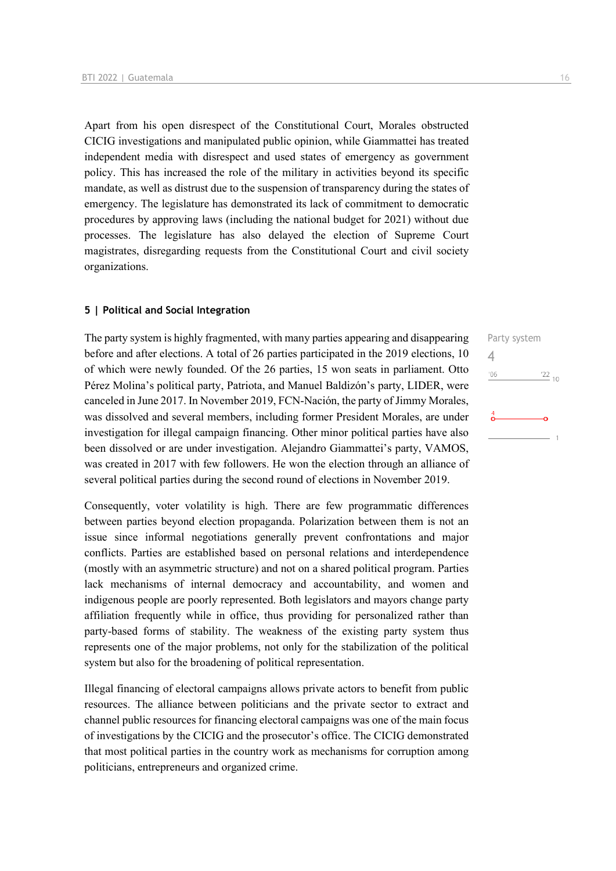Apart from his open disrespect of the Constitutional Court, Morales obstructed CICIG investigations and manipulated public opinion, while Giammattei has treated independent media with disrespect and used states of emergency as government policy. This has increased the role of the military in activities beyond its specific mandate, as well as distrust due to the suspension of transparency during the states of emergency. The legislature has demonstrated its lack of commitment to democratic procedures by approving laws (including the national budget for 2021) without due processes. The legislature has also delayed the election of Supreme Court magistrates, disregarding requests from the Constitutional Court and civil society organizations.

#### **5 | Political and Social Integration**

The party system is highly fragmented, with many parties appearing and disappearing before and after elections. A total of 26 parties participated in the 2019 elections, 10 of which were newly founded. Of the 26 parties, 15 won seats in parliament. Otto Pérez Molina's political party, Patriota, and Manuel Baldizón's party, LIDER, were canceled in June 2017. In November 2019, FCN-Nación, the party of Jimmy Morales, was dissolved and several members, including former President Morales, are under investigation for illegal campaign financing. Other minor political parties have also been dissolved or are under investigation. Alejandro Giammattei's party, VAMOS, was created in 2017 with few followers. He won the election through an alliance of several political parties during the second round of elections in November 2019.

Consequently, voter volatility is high. There are few programmatic differences between parties beyond election propaganda. Polarization between them is not an issue since informal negotiations generally prevent confrontations and major conflicts. Parties are established based on personal relations and interdependence (mostly with an asymmetric structure) and not on a shared political program. Parties lack mechanisms of internal democracy and accountability, and women and indigenous people are poorly represented. Both legislators and mayors change party affiliation frequently while in office, thus providing for personalized rather than party-based forms of stability. The weakness of the existing party system thus represents one of the major problems, not only for the stabilization of the political system but also for the broadening of political representation.

Illegal financing of electoral campaigns allows private actors to benefit from public resources. The alliance between politicians and the private sector to extract and channel public resources for financing electoral campaigns was one of the main focus of investigations by the CICIG and the prosecutor's office. The CICIG demonstrated that most political parties in the country work as mechanisms for corruption among politicians, entrepreneurs and organized crime.

Party system 4 $\frac{22}{10}$  $^{\prime}06$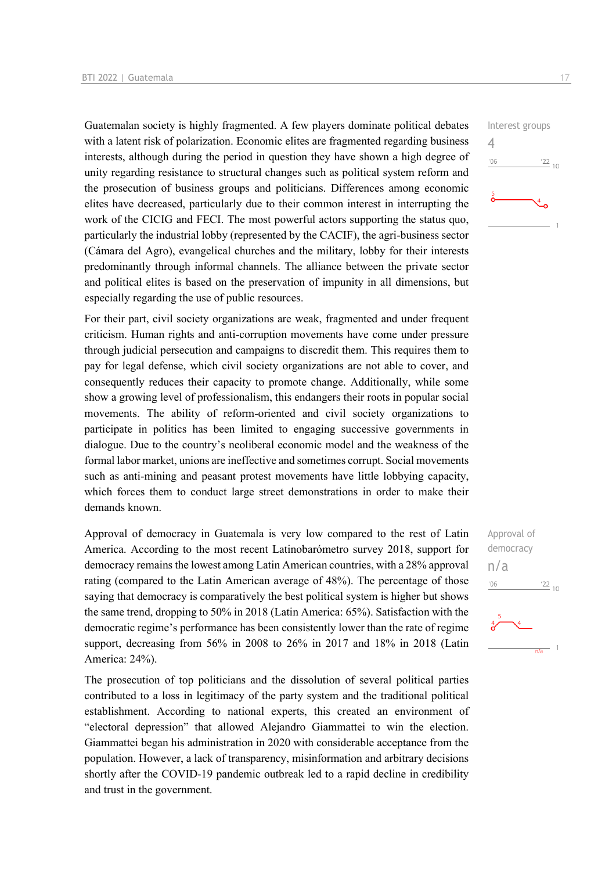Guatemalan society is highly fragmented. A few players dominate political debates with a latent risk of polarization. Economic elites are fragmented regarding business interests, although during the period in question they have shown a high degree of unity regarding resistance to structural changes such as political system reform and the prosecution of business groups and politicians. Differences among economic elites have decreased, particularly due to their common interest in interrupting the work of the CICIG and FECI. The most powerful actors supporting the status quo, particularly the industrial lobby (represented by the CACIF), the agri-business sector (Cámara del Agro), evangelical churches and the military, lobby for their interests predominantly through informal channels. The alliance between the private sector and political elites is based on the preservation of impunity in all dimensions, but especially regarding the use of public resources.

For their part, civil society organizations are weak, fragmented and under frequent criticism. Human rights and anti-corruption movements have come under pressure through judicial persecution and campaigns to discredit them. This requires them to pay for legal defense, which civil society organizations are not able to cover, and consequently reduces their capacity to promote change. Additionally, while some show a growing level of professionalism, this endangers their roots in popular social movements. The ability of reform-oriented and civil society organizations to participate in politics has been limited to engaging successive governments in dialogue. Due to the country's neoliberal economic model and the weakness of the formal labor market, unions are ineffective and sometimes corrupt. Social movements such as anti-mining and peasant protest movements have little lobbying capacity, which forces them to conduct large street demonstrations in order to make their demands known.

Approval of democracy in Guatemala is very low compared to the rest of Latin America. According to the most recent Latinobarómetro survey 2018, support for democracy remains the lowest among Latin American countries, with a 28% approval rating (compared to the Latin American average of 48%). The percentage of those saying that democracy is comparatively the best political system is higher but shows the same trend, dropping to 50% in 2018 (Latin America: 65%). Satisfaction with the democratic regime's performance has been consistently lower than the rate of regime support, decreasing from 56% in 2008 to 26% in 2017 and 18% in 2018 (Latin America: 24%).

The prosecution of top politicians and the dissolution of several political parties contributed to a loss in legitimacy of the party system and the traditional political establishment. According to national experts, this created an environment of "electoral depression" that allowed Alejandro Giammattei to win the election. Giammattei began his administration in 2020 with considerable acceptance from the population. However, a lack of transparency, misinformation and arbitrary decisions shortly after the COVID-19 pandemic outbreak led to a rapid decline in credibility and trust in the government.



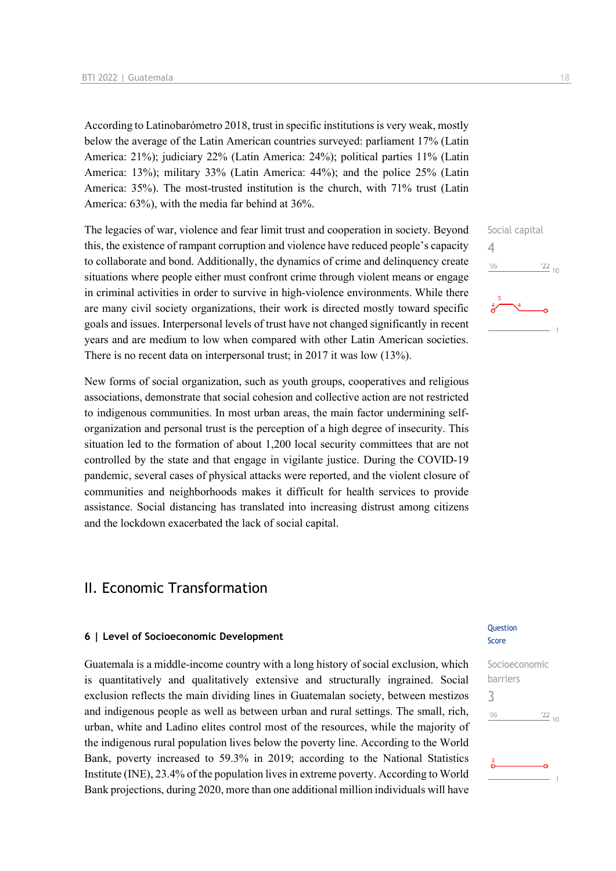According to Latinobarómetro 2018, trust in specific institutions is very weak, mostly below the average of the Latin American countries surveyed: parliament 17% (Latin America: 21%); judiciary 22% (Latin America: 24%); political parties 11% (Latin America: 13%); military 33% (Latin America: 44%); and the police 25% (Latin America: 35%). The most-trusted institution is the church, with 71% trust (Latin America: 63%), with the media far behind at 36%.

The legacies of war, violence and fear limit trust and cooperation in society. Beyond this, the existence of rampant corruption and violence have reduced people's capacity to collaborate and bond. Additionally, the dynamics of crime and delinquency create situations where people either must confront crime through violent means or engage in criminal activities in order to survive in high-violence environments. While there are many civil society organizations, their work is directed mostly toward specific goals and issues. Interpersonal levels of trust have not changed significantly in recent years and are medium to low when compared with other Latin American societies. There is no recent data on interpersonal trust; in 2017 it was low (13%).

New forms of social organization, such as youth groups, cooperatives and religious associations, demonstrate that social cohesion and collective action are not restricted to indigenous communities. In most urban areas, the main factor undermining selforganization and personal trust is the perception of a high degree of insecurity. This situation led to the formation of about 1,200 local security committees that are not controlled by the state and that engage in vigilante justice. During the COVID-19 pandemic, several cases of physical attacks were reported, and the violent closure of communities and neighborhoods makes it difficult for health services to provide assistance. Social distancing has translated into increasing distrust among citizens and the lockdown exacerbated the lack of social capital.

## II. Economic Transformation

#### **6 | Level of Socioeconomic Development**

Guatemala is a middle-income country with a long history of social exclusion, which is quantitatively and qualitatively extensive and structurally ingrained. Social exclusion reflects the main dividing lines in Guatemalan society, between mestizos and indigenous people as well as between urban and rural settings. The small, rich, urban, white and Ladino elites control most of the resources, while the majority of the indigenous rural population lives below the poverty line. According to the World Bank, poverty increased to 59.3% in 2019; according to the National Statistics Institute (INE), 23.4% of the population lives in extreme poverty. According to World Bank projections, during 2020, more than one additional million individuals will have

# $106$  $\frac{22}{10}$

Social capital

 $\Delta$ 

#### **Ouestion** Score

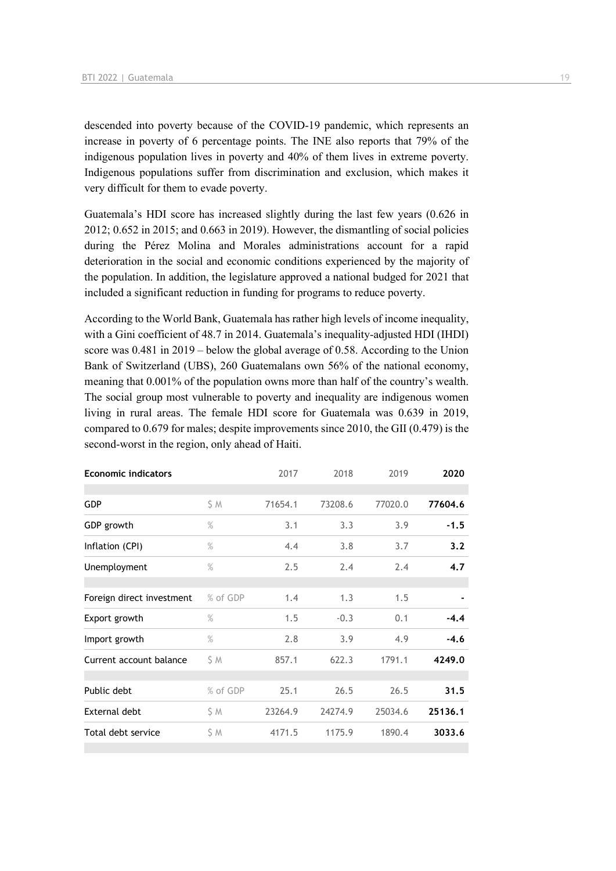descended into poverty because of the COVID-19 pandemic, which represents an increase in poverty of 6 percentage points. The INE also reports that 79% of the indigenous population lives in poverty and 40% of them lives in extreme poverty. Indigenous populations suffer from discrimination and exclusion, which makes it very difficult for them to evade poverty.

Guatemala's HDI score has increased slightly during the last few years (0.626 in 2012; 0.652 in 2015; and 0.663 in 2019). However, the dismantling of social policies during the Pérez Molina and Morales administrations account for a rapid deterioration in the social and economic conditions experienced by the majority of the population. In addition, the legislature approved a national budged for 2021 that included a significant reduction in funding for programs to reduce poverty.

According to the World Bank, Guatemala has rather high levels of income inequality, with a Gini coefficient of 48.7 in 2014. Guatemala's inequality-adjusted HDI (IHDI) score was 0.481 in 2019 – below the global average of 0.58. According to the Union Bank of Switzerland (UBS), 260 Guatemalans own 56% of the national economy, meaning that 0.001% of the population owns more than half of the country's wealth. The social group most vulnerable to poverty and inequality are indigenous women living in rural areas. The female HDI score for Guatemala was 0.639 in 2019, compared to 0.679 for males; despite improvements since 2010, the GII (0.479) is the second-worst in the region, only ahead of Haiti.

| <b>Economic indicators</b> |          | 2017    | 2018    | 2019    | 2020    |
|----------------------------|----------|---------|---------|---------|---------|
|                            |          |         |         |         |         |
| <b>GDP</b>                 | SΜ       | 71654.1 | 73208.6 | 77020.0 | 77604.6 |
| GDP growth                 | $\%$     | 3.1     | 3.3     | 3.9     | $-1.5$  |
| Inflation (CPI)            | $\%$     | 4.4     | 3.8     | 3.7     | 3.2     |
| Unemployment               | $\%$     | 2.5     | 2.4     | 2.4     | 4.7     |
|                            |          |         |         |         |         |
| Foreign direct investment  | % of GDP | 1.4     | 1.3     | 1.5     |         |
| Export growth              | $\%$     | 1.5     | $-0.3$  | 0.1     | $-4.4$  |
| Import growth              | $\%$     | 2.8     | 3.9     | 4.9     | $-4.6$  |
| Current account balance    | SΜ       | 857.1   | 622.3   | 1791.1  | 4249.0  |
|                            |          |         |         |         |         |
| Public debt                | % of GDP | 25.1    | 26.5    | 26.5    | 31.5    |
| External debt              | S M      | 23264.9 | 24274.9 | 25034.6 | 25136.1 |
| Total debt service         | \$ Μ     | 4171.5  | 1175.9  | 1890.4  | 3033.6  |
|                            |          |         |         |         |         |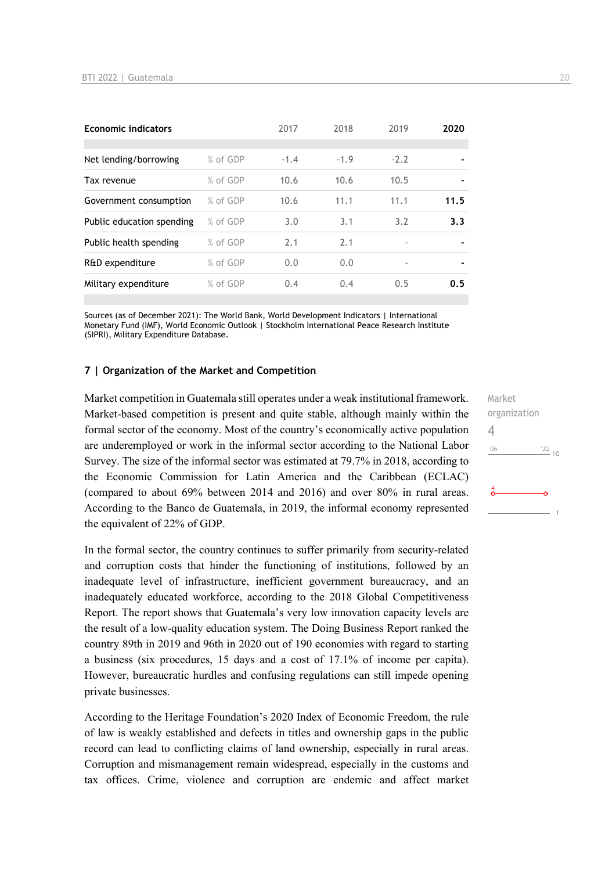| <b>Economic indicators</b> |          | 2017   | 2018   | 2019                     | 2020 |
|----------------------------|----------|--------|--------|--------------------------|------|
|                            |          |        |        |                          |      |
| Net lending/borrowing      | % of GDP | $-1.4$ | $-1.9$ | $-2.2$                   |      |
| Tax revenue                | % of GDP | 10.6   | 10.6   | 10.5                     |      |
| Government consumption     | % of GDP | 10.6   | 11.1   | 11.1                     | 11.5 |
| Public education spending  | % of GDP | 3.0    | 3.1    | 3.2                      | 3.3  |
| Public health spending     | % of GDP | 2.1    | 2.1    | $\overline{\phantom{a}}$ |      |
| R&D expenditure            | % of GDP | 0.0    | 0.0    |                          |      |
| Military expenditure       | % of GDP | 0.4    | 0.4    | 0.5                      | 0.5  |

Sources (as of December 2021): The World Bank, World Development Indicators | International Monetary Fund (IMF), World Economic Outlook | Stockholm International Peace Research Institute (SIPRI), Military Expenditure Database.

#### **7 | Organization of the Market and Competition**

Market competition in Guatemala still operates under a weak institutional framework. Market-based competition is present and quite stable, although mainly within the formal sector of the economy. Most of the country's economically active population are underemployed or work in the informal sector according to the National Labor Survey. The size of the informal sector was estimated at 79.7% in 2018, according to the Economic Commission for Latin America and the Caribbean (ECLAC) (compared to about 69% between 2014 and 2016) and over 80% in rural areas. According to the Banco de Guatemala, in 2019, the informal economy represented the equivalent of 22% of GDP.

In the formal sector, the country continues to suffer primarily from security-related and corruption costs that hinder the functioning of institutions, followed by an inadequate level of infrastructure, inefficient government bureaucracy, and an inadequately educated workforce, according to the 2018 Global Competitiveness Report. The report shows that Guatemala's very low innovation capacity levels are the result of a low-quality education system. The Doing Business Report ranked the country 89th in 2019 and 96th in 2020 out of 190 economies with regard to starting a business (six procedures, 15 days and a cost of 17.1% of income per capita). However, bureaucratic hurdles and confusing regulations can still impede opening private businesses.

According to the Heritage Foundation's 2020 Index of Economic Freedom, the rule of law is weakly established and defects in titles and ownership gaps in the public record can lead to conflicting claims of land ownership, especially in rural areas. Corruption and mismanagement remain widespread, especially in the customs and tax offices. Crime, violence and corruption are endemic and affect market Market organization  $\Delta$  $106$  $\frac{22}{10}$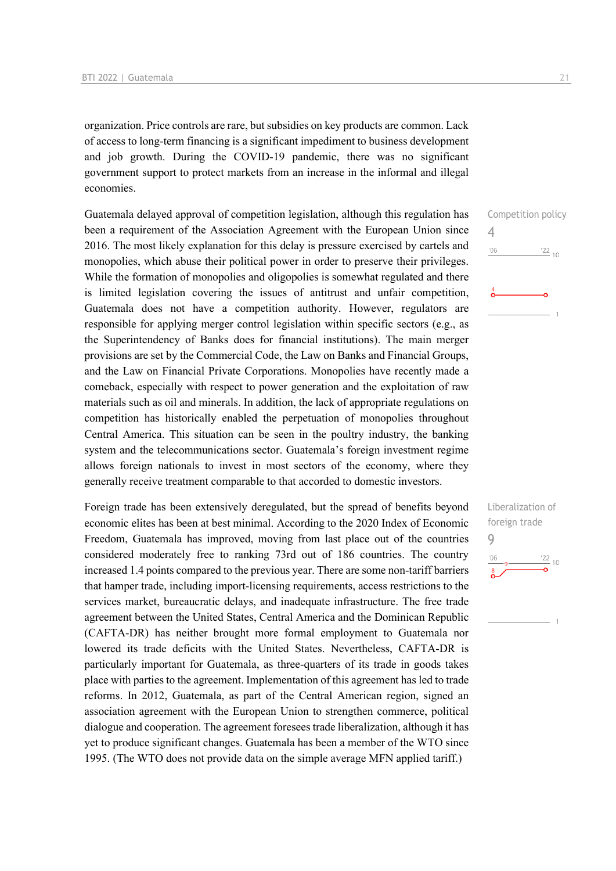organization. Price controls are rare, but subsidies on key products are common. Lack of access to long-term financing is a significant impediment to business development and job growth. During the COVID-19 pandemic, there was no significant government support to protect markets from an increase in the informal and illegal economies.

Guatemala delayed approval of competition legislation, although this regulation has been a requirement of the Association Agreement with the European Union since 2016. The most likely explanation for this delay is pressure exercised by cartels and monopolies, which abuse their political power in order to preserve their privileges. While the formation of monopolies and oligopolies is somewhat regulated and there is limited legislation covering the issues of antitrust and unfair competition, Guatemala does not have a competition authority. However, regulators are responsible for applying merger control legislation within specific sectors (e.g., as the Superintendency of Banks does for financial institutions). The main merger provisions are set by the Commercial Code, the Law on Banks and Financial Groups, and the Law on Financial Private Corporations. Monopolies have recently made a comeback, especially with respect to power generation and the exploitation of raw materials such as oil and minerals. In addition, the lack of appropriate regulations on competition has historically enabled the perpetuation of monopolies throughout Central America. This situation can be seen in the poultry industry, the banking system and the telecommunications sector. Guatemala's foreign investment regime allows foreign nationals to invest in most sectors of the economy, where they generally receive treatment comparable to that accorded to domestic investors.

Foreign trade has been extensively deregulated, but the spread of benefits beyond economic elites has been at best minimal. According to the 2020 Index of Economic Freedom, Guatemala has improved, moving from last place out of the countries considered moderately free to ranking 73rd out of 186 countries. The country increased 1.4 points compared to the previous year. There are some non-tariff barriers that hamper trade, including import-licensing requirements, access restrictions to the services market, bureaucratic delays, and inadequate infrastructure. The free trade agreement between the United States, Central America and the Dominican Republic (CAFTA-DR) has neither brought more formal employment to Guatemala nor lowered its trade deficits with the United States. Nevertheless, CAFTA-DR is particularly important for Guatemala, as three-quarters of its trade in goods takes place with parties to the agreement. Implementation of this agreement has led to trade reforms. In 2012, Guatemala, as part of the Central American region, signed an association agreement with the European Union to strengthen commerce, political dialogue and cooperation. The agreement foresees trade liberalization, although it has yet to produce significant changes. Guatemala has been a member of the WTO since 1995. (The WTO does not provide data on the simple average MFN applied tariff.)



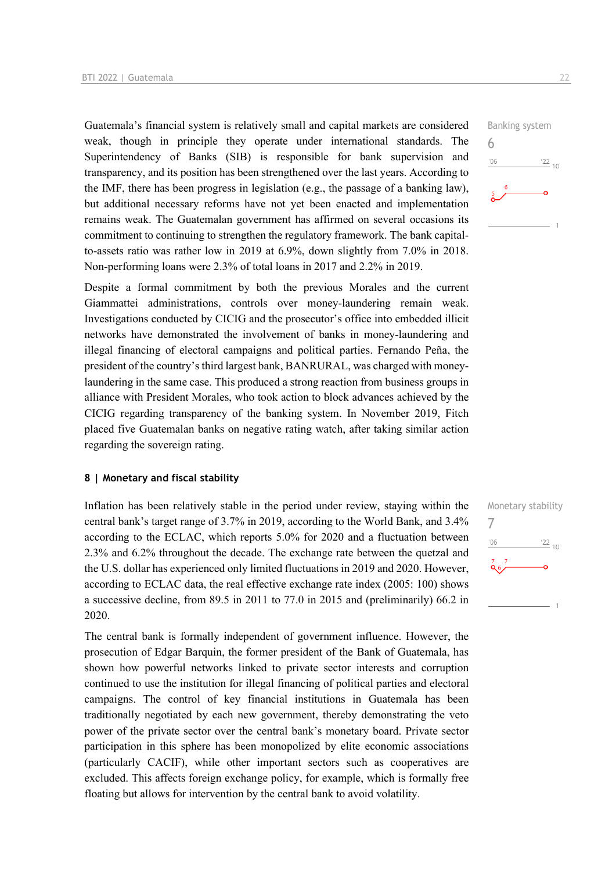Guatemala's financial system is relatively small and capital markets are considered weak, though in principle they operate under international standards. The Superintendency of Banks (SIB) is responsible for bank supervision and transparency, and its position has been strengthened over the last years. According to the IMF, there has been progress in legislation (e.g., the passage of a banking law), but additional necessary reforms have not yet been enacted and implementation remains weak. The Guatemalan government has affirmed on several occasions its commitment to continuing to strengthen the regulatory framework. The bank capitalto-assets ratio was rather low in 2019 at 6.9%, down slightly from 7.0% in 2018. Non-performing loans were 2.3% of total loans in 2017 and 2.2% in 2019.

Despite a formal commitment by both the previous Morales and the current Giammattei administrations, controls over money-laundering remain weak. Investigations conducted by CICIG and the prosecutor's office into embedded illicit networks have demonstrated the involvement of banks in money-laundering and illegal financing of electoral campaigns and political parties. Fernando Peña, the president of the country's third largest bank, BANRURAL, was charged with moneylaundering in the same case. This produced a strong reaction from business groups in alliance with President Morales, who took action to block advances achieved by the CICIG regarding transparency of the banking system. In November 2019, Fitch placed five Guatemalan banks on negative rating watch, after taking similar action regarding the sovereign rating.

#### **8 | Monetary and fiscal stability**

Inflation has been relatively stable in the period under review, staying within the central bank's target range of 3.7% in 2019, according to the World Bank, and 3.4% according to the ECLAC, which reports 5.0% for 2020 and a fluctuation between 2.3% and 6.2% throughout the decade. The exchange rate between the quetzal and the U.S. dollar has experienced only limited fluctuations in 2019 and 2020. However, according to ECLAC data, the real effective exchange rate index (2005: 100) shows a successive decline, from 89.5 in 2011 to 77.0 in 2015 and (preliminarily) 66.2 in 2020.

The central bank is formally independent of government influence. However, the prosecution of Edgar Barquin, the former president of the Bank of Guatemala, has shown how powerful networks linked to private sector interests and corruption continued to use the institution for illegal financing of political parties and electoral campaigns. The control of key financial institutions in Guatemala has been traditionally negotiated by each new government, thereby demonstrating the veto power of the private sector over the central bank's monetary board. Private sector participation in this sphere has been monopolized by elite economic associations (particularly CACIF), while other important sectors such as cooperatives are excluded. This affects foreign exchange policy, for example, which is formally free floating but allows for intervention by the central bank to avoid volatility.



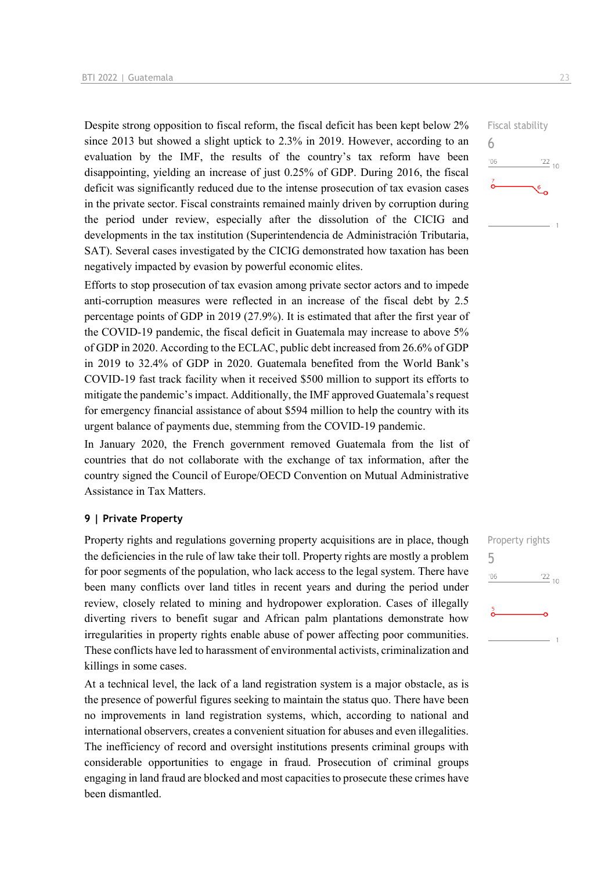Despite strong opposition to fiscal reform, the fiscal deficit has been kept below 2% since 2013 but showed a slight uptick to 2.3% in 2019. However, according to an evaluation by the IMF, the results of the country's tax reform have been disappointing, yielding an increase of just 0.25% of GDP. During 2016, the fiscal deficit was significantly reduced due to the intense prosecution of tax evasion cases in the private sector. Fiscal constraints remained mainly driven by corruption during the period under review, especially after the dissolution of the CICIG and developments in the tax institution (Superintendencia de Administración Tributaria, SAT). Several cases investigated by the CICIG demonstrated how taxation has been negatively impacted by evasion by powerful economic elites.

Efforts to stop prosecution of tax evasion among private sector actors and to impede anti-corruption measures were reflected in an increase of the fiscal debt by 2.5 percentage points of GDP in 2019 (27.9%). It is estimated that after the first year of the COVID-19 pandemic, the fiscal deficit in Guatemala may increase to above 5% of GDP in 2020. According to the ECLAC, public debt increased from 26.6% of GDP in 2019 to 32.4% of GDP in 2020. Guatemala benefited from the World Bank's COVID-19 fast track facility when it received \$500 million to support its efforts to mitigate the pandemic's impact. Additionally, the IMF approved Guatemala's request for emergency financial assistance of about \$594 million to help the country with its urgent balance of payments due, stemming from the COVID-19 pandemic.

In January 2020, the French government removed Guatemala from the list of countries that do not collaborate with the exchange of tax information, after the country signed the Council of Europe/OECD Convention on Mutual Administrative Assistance in Tax Matters.

#### **9 | Private Property**

Property rights and regulations governing property acquisitions are in place, though the deficiencies in the rule of law take their toll. Property rights are mostly a problem for poor segments of the population, who lack access to the legal system. There have been many conflicts over land titles in recent years and during the period under review, closely related to mining and hydropower exploration. Cases of illegally diverting rivers to benefit sugar and African palm plantations demonstrate how irregularities in property rights enable abuse of power affecting poor communities. These conflicts have led to harassment of environmental activists, criminalization and killings in some cases.

At a technical level, the lack of a land registration system is a major obstacle, as is the presence of powerful figures seeking to maintain the status quo. There have been no improvements in land registration systems, which, according to national and international observers, creates a convenient situation for abuses and even illegalities. The inefficiency of record and oversight institutions presents criminal groups with considerable opportunities to engage in fraud. Prosecution of criminal groups engaging in land fraud are blocked and most capacities to prosecute these crimes have been dismantled.

Fiscal stability

 $\frac{22}{10}$ 

6

 $106$ 

5 $06'$  $\frac{22}{10}$ 

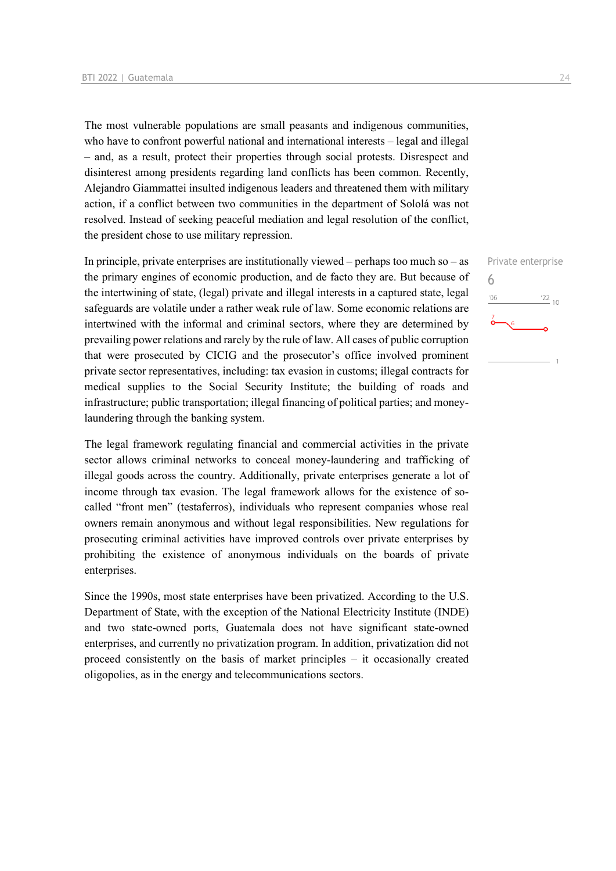The most vulnerable populations are small peasants and indigenous communities, who have to confront powerful national and international interests – legal and illegal – and, as a result, protect their properties through social protests. Disrespect and disinterest among presidents regarding land conflicts has been common. Recently, Alejandro Giammattei insulted indigenous leaders and threatened them with military action, if a conflict between two communities in the department of Sololá was not resolved. Instead of seeking peaceful mediation and legal resolution of the conflict, the president chose to use military repression.

In principle, private enterprises are institutionally viewed – perhaps too much so – as the primary engines of economic production, and de facto they are. But because of the intertwining of state, (legal) private and illegal interests in a captured state, legal safeguards are volatile under a rather weak rule of law. Some economic relations are intertwined with the informal and criminal sectors, where they are determined by prevailing power relations and rarely by the rule of law. All cases of public corruption that were prosecuted by CICIG and the prosecutor's office involved prominent private sector representatives, including: tax evasion in customs; illegal contracts for medical supplies to the Social Security Institute; the building of roads and infrastructure; public transportation; illegal financing of political parties; and moneylaundering through the banking system.

The legal framework regulating financial and commercial activities in the private sector allows criminal networks to conceal money-laundering and trafficking of illegal goods across the country. Additionally, private enterprises generate a lot of income through tax evasion. The legal framework allows for the existence of socalled "front men" (testaferros), individuals who represent companies whose real owners remain anonymous and without legal responsibilities. New regulations for prosecuting criminal activities have improved controls over private enterprises by prohibiting the existence of anonymous individuals on the boards of private enterprises.

Since the 1990s, most state enterprises have been privatized. According to the U.S. Department of State, with the exception of the National Electricity Institute (INDE) and two state-owned ports, Guatemala does not have significant state-owned enterprises, and currently no privatization program. In addition, privatization did not proceed consistently on the basis of market principles – it occasionally created oligopolies, as in the energy and telecommunications sectors.

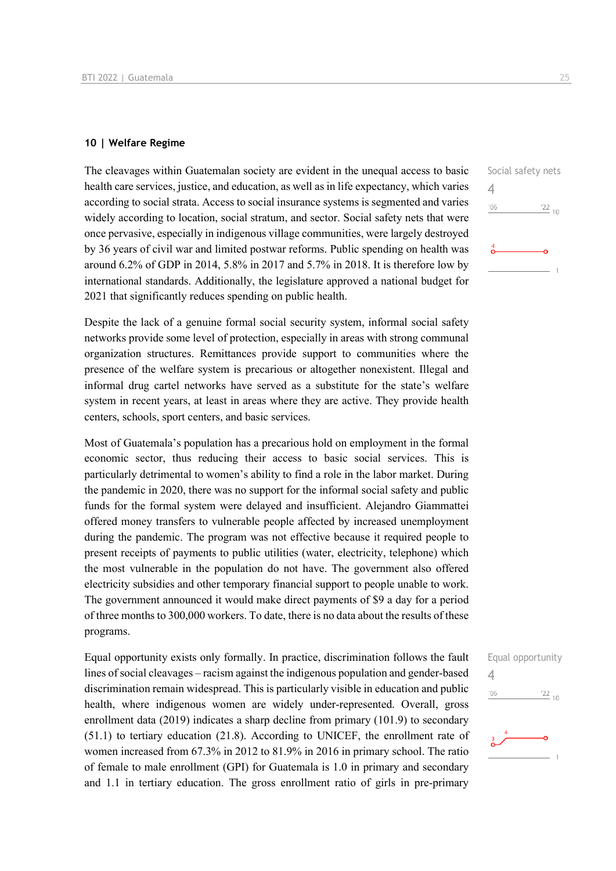#### **10 | Welfare Regime**

The cleavages within Guatemalan society are evident in the unequal access to basic health care services, justice, and education, as well as in life expectancy, which varies according to social strata. Access to social insurance systems is segmented and varies widely according to location, social stratum, and sector. Social safety nets that were once pervasive, especially in indigenous village communities, were largely destroyed by 36 years of civil war and limited postwar reforms. Public spending on health was around 6.2% of GDP in 2014, 5.8% in 2017 and 5.7% in 2018. It is therefore low by international standards. Additionally, the legislature approved a national budget for 2021 that significantly reduces spending on public health.

Despite the lack of a genuine formal social security system, informal social safety networks provide some level of protection, especially in areas with strong communal organization structures. Remittances provide support to communities where the presence of the welfare system is precarious or altogether nonexistent. Illegal and informal drug cartel networks have served as a substitute for the state's welfare system in recent years, at least in areas where they are active. They provide health centers, schools, sport centers, and basic services.

Most of Guatemala's population has a precarious hold on employment in the formal economic sector, thus reducing their access to basic social services. This is particularly detrimental to women's ability to find a role in the labor market. During the pandemic in 2020, there was no support for the informal social safety and public funds for the formal system were delayed and insufficient. Alejandro Giammattei offered money transfers to vulnerable people affected by increased unemployment during the pandemic. The program was not effective because it required people to present receipts of payments to public utilities (water, electricity, telephone) which the most vulnerable in the population do not have. The government also offered electricity subsidies and other temporary financial support to people unable to work. The government announced it would make direct payments of \$9 a day for a period of three months to 300,000 workers. To date, there is no data about the results of these programs.

Equal opportunity exists only formally. In practice, discrimination follows the fault lines of social cleavages – racism against the indigenous population and gender-based discrimination remain widespread. This is particularly visible in education and public health, where indigenous women are widely under-represented. Overall, gross enrollment data (2019) indicates a sharp decline from primary (101.9) to secondary (51.1) to tertiary education (21.8). According to UNICEF, the enrollment rate of women increased from 67.3% in 2012 to 81.9% in 2016 in primary school. The ratio of female to male enrollment (GPI) for Guatemala is 1.0 in primary and secondary and 1.1 in tertiary education. The gross enrollment ratio of girls in pre-primary



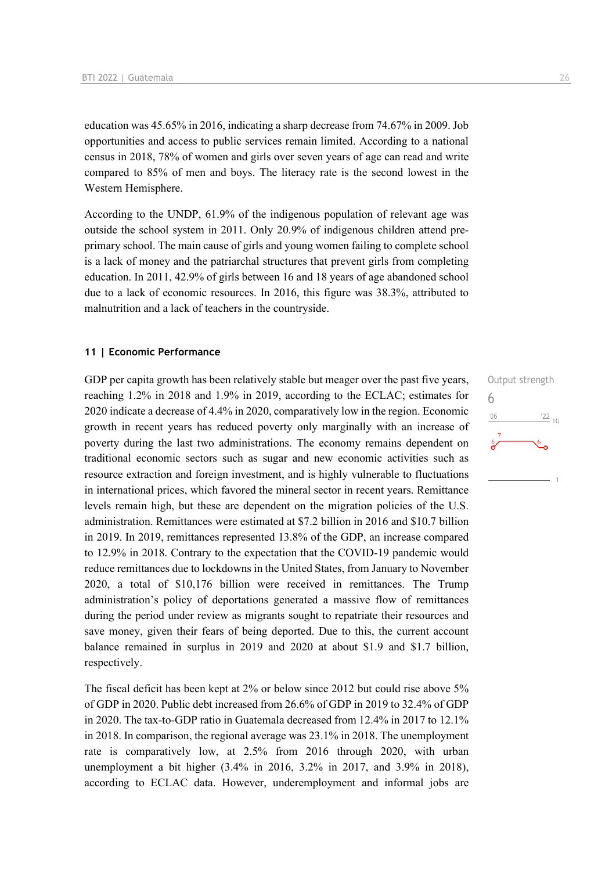education was 45.65% in 2016, indicating a sharp decrease from 74.67% in 2009. Job opportunities and access to public services remain limited. According to a national census in 2018, 78% of women and girls over seven years of age can read and write compared to 85% of men and boys. The literacy rate is the second lowest in the Western Hemisphere.

According to the UNDP, 61.9% of the indigenous population of relevant age was outside the school system in 2011. Only 20.9% of indigenous children attend preprimary school. The main cause of girls and young women failing to complete school is a lack of money and the patriarchal structures that prevent girls from completing education. In 2011, 42.9% of girls between 16 and 18 years of age abandoned school due to a lack of economic resources. In 2016, this figure was 38.3%, attributed to malnutrition and a lack of teachers in the countryside.

#### **11 | Economic Performance**

GDP per capita growth has been relatively stable but meager over the past five years, reaching 1.2% in 2018 and 1.9% in 2019, according to the ECLAC; estimates for 2020 indicate a decrease of 4.4% in 2020, comparatively low in the region. Economic growth in recent years has reduced poverty only marginally with an increase of poverty during the last two administrations. The economy remains dependent on traditional economic sectors such as sugar and new economic activities such as resource extraction and foreign investment, and is highly vulnerable to fluctuations in international prices, which favored the mineral sector in recent years. Remittance levels remain high, but these are dependent on the migration policies of the U.S. administration. Remittances were estimated at \$7.2 billion in 2016 and \$10.7 billion in 2019. In 2019, remittances represented 13.8% of the GDP, an increase compared to 12.9% in 2018. Contrary to the expectation that the COVID-19 pandemic would reduce remittances due to lockdowns in the United States, from January to November 2020, a total of \$10,176 billion were received in remittances. The Trump administration's policy of deportations generated a massive flow of remittances during the period under review as migrants sought to repatriate their resources and save money, given their fears of being deported. Due to this, the current account balance remained in surplus in 2019 and 2020 at about \$1.9 and \$1.7 billion, respectively.

The fiscal deficit has been kept at 2% or below since 2012 but could rise above 5% of GDP in 2020. Public debt increased from 26.6% of GDP in 2019 to 32.4% of GDP in 2020. The tax-to-GDP ratio in Guatemala decreased from 12.4% in 2017 to 12.1% in 2018. In comparison, the regional average was 23.1% in 2018. The unemployment rate is comparatively low, at 2.5% from 2016 through 2020, with urban unemployment a bit higher (3.4% in 2016, 3.2% in 2017, and 3.9% in 2018), according to ECLAC data. However, underemployment and informal jobs are

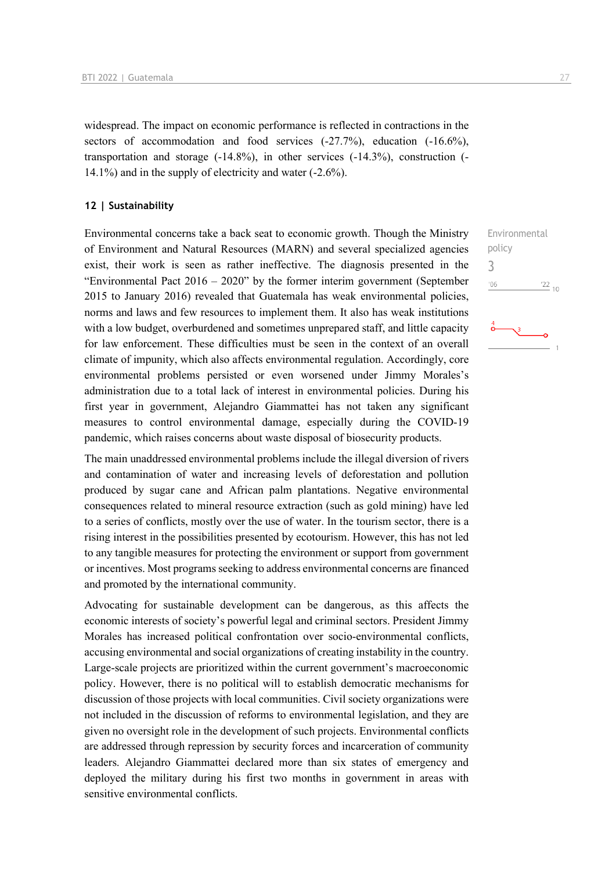widespread. The impact on economic performance is reflected in contractions in the sectors of accommodation and food services  $(-27.7%)$ , education  $(-16.6%)$ , transportation and storage  $(-14.8\%)$ , in other services  $(-14.3\%)$ , construction  $(-14.3\%)$ 14.1%) and in the supply of electricity and water (-2.6%).

#### **12 | Sustainability**

Environmental concerns take a back seat to economic growth. Though the Ministry of Environment and Natural Resources (MARN) and several specialized agencies exist, their work is seen as rather ineffective. The diagnosis presented in the "Environmental Pact 2016 – 2020" by the former interim government (September 2015 to January 2016) revealed that Guatemala has weak environmental policies, norms and laws and few resources to implement them. It also has weak institutions with a low budget, overburdened and sometimes unprepared staff, and little capacity for law enforcement. These difficulties must be seen in the context of an overall climate of impunity, which also affects environmental regulation. Accordingly, core environmental problems persisted or even worsened under Jimmy Morales's administration due to a total lack of interest in environmental policies. During his first year in government, Alejandro Giammattei has not taken any significant measures to control environmental damage, especially during the COVID-19 pandemic, which raises concerns about waste disposal of biosecurity products.

The main unaddressed environmental problems include the illegal diversion of rivers and contamination of water and increasing levels of deforestation and pollution produced by sugar cane and African palm plantations. Negative environmental consequences related to mineral resource extraction (such as gold mining) have led to a series of conflicts, mostly over the use of water. In the tourism sector, there is a rising interest in the possibilities presented by ecotourism. However, this has not led to any tangible measures for protecting the environment or support from government or incentives. Most programs seeking to address environmental concerns are financed and promoted by the international community.

Advocating for sustainable development can be dangerous, as this affects the economic interests of society's powerful legal and criminal sectors. President Jimmy Morales has increased political confrontation over socio-environmental conflicts, accusing environmental and social organizations of creating instability in the country. Large-scale projects are prioritized within the current government's macroeconomic policy. However, there is no political will to establish democratic mechanisms for discussion of those projects with local communities. Civil society organizations were not included in the discussion of reforms to environmental legislation, and they are given no oversight role in the development of such projects. Environmental conflicts are addressed through repression by security forces and incarceration of community leaders. Alejandro Giammattei declared more than six states of emergency and deployed the military during his first two months in government in areas with sensitive environmental conflicts.

Environmental policy 3 $'06$  $\frac{22}{10}$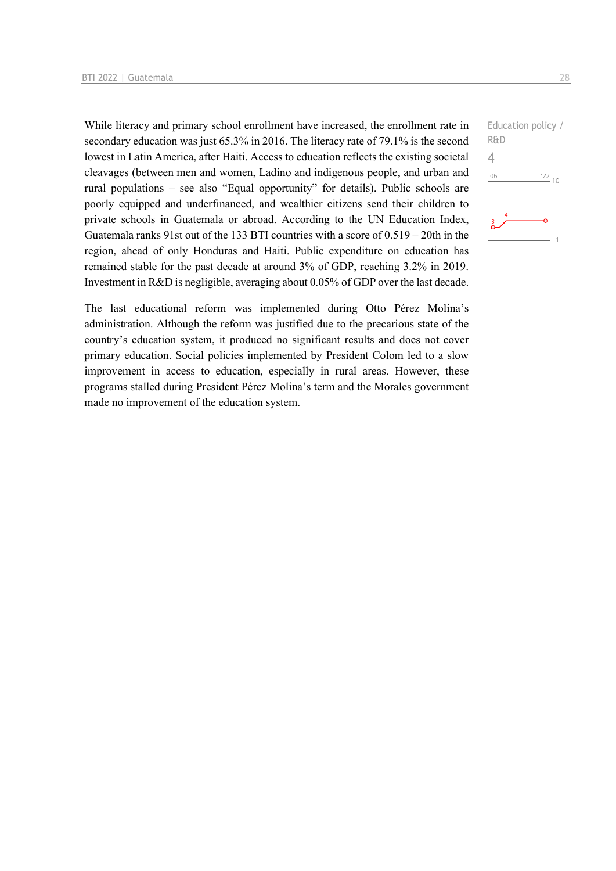While literacy and primary school enrollment have increased, the enrollment rate in secondary education was just 65.3% in 2016. The literacy rate of 79.1% is the second lowest in Latin America, after Haiti. Access to education reflects the existing societal cleavages (between men and women, Ladino and indigenous people, and urban and rural populations – see also "Equal opportunity" for details). Public schools are poorly equipped and underfinanced, and wealthier citizens send their children to private schools in Guatemala or abroad. According to the UN Education Index, Guatemala ranks 91st out of the 133 BTI countries with a score of 0.519 – 20th in the region, ahead of only Honduras and Haiti. Public expenditure on education has remained stable for the past decade at around 3% of GDP, reaching 3.2% in 2019. Investment in R&D is negligible, averaging about 0.05% of GDP over the last decade.

The last educational reform was implemented during Otto Pérez Molina's administration. Although the reform was justified due to the precarious state of the country's education system, it produced no significant results and does not cover primary education. Social policies implemented by President Colom led to a slow improvement in access to education, especially in rural areas. However, these programs stalled during President Pérez Molina's term and the Morales government made no improvement of the education system.

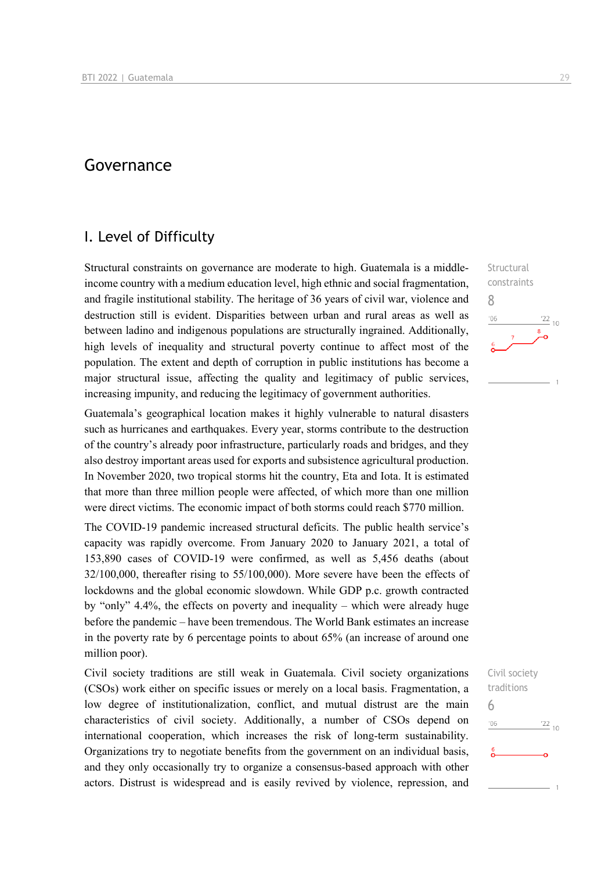## Governance

## I. Level of Difficulty

Structural constraints on governance are moderate to high. Guatemala is a middleincome country with a medium education level, high ethnic and social fragmentation, and fragile institutional stability. The heritage of 36 years of civil war, violence and destruction still is evident. Disparities between urban and rural areas as well as between ladino and indigenous populations are structurally ingrained. Additionally, high levels of inequality and structural poverty continue to affect most of the population. The extent and depth of corruption in public institutions has become a major structural issue, affecting the quality and legitimacy of public services, increasing impunity, and reducing the legitimacy of government authorities.

Guatemala's geographical location makes it highly vulnerable to natural disasters such as hurricanes and earthquakes. Every year, storms contribute to the destruction of the country's already poor infrastructure, particularly roads and bridges, and they also destroy important areas used for exports and subsistence agricultural production. In November 2020, two tropical storms hit the country, Eta and Iota. It is estimated that more than three million people were affected, of which more than one million were direct victims. The economic impact of both storms could reach \$770 million.

The COVID-19 pandemic increased structural deficits. The public health service's capacity was rapidly overcome. From January 2020 to January 2021, a total of 153,890 cases of COVID-19 were confirmed, as well as 5,456 deaths (about 32/100,000, thereafter rising to 55/100,000). More severe have been the effects of lockdowns and the global economic slowdown. While GDP p.c. growth contracted by "only" 4.4%, the effects on poverty and inequality – which were already huge before the pandemic – have been tremendous. The World Bank estimates an increase in the poverty rate by 6 percentage points to about 65% (an increase of around one million poor).

Civil society traditions are still weak in Guatemala. Civil society organizations (CSOs) work either on specific issues or merely on a local basis. Fragmentation, a low degree of institutionalization, conflict, and mutual distrust are the main characteristics of civil society. Additionally, a number of CSOs depend on international cooperation, which increases the risk of long-term sustainability. Organizations try to negotiate benefits from the government on an individual basis, and they only occasionally try to organize a consensus-based approach with other actors. Distrust is widespread and is easily revived by violence, repression, and



Civil society traditions 6 $^{22}_{-10}$  $-06$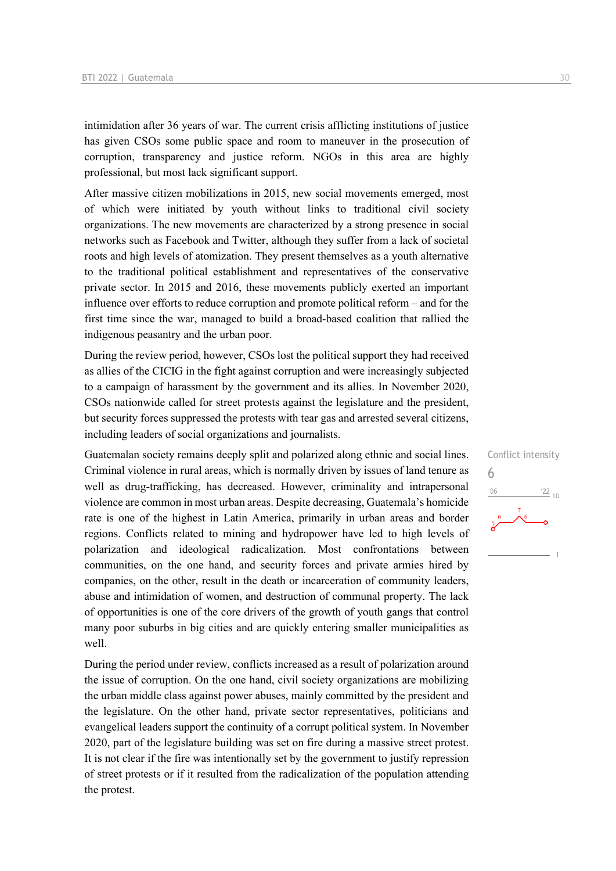intimidation after 36 years of war. The current crisis afflicting institutions of justice has given CSOs some public space and room to maneuver in the prosecution of corruption, transparency and justice reform. NGOs in this area are highly professional, but most lack significant support.

After massive citizen mobilizations in 2015, new social movements emerged, most of which were initiated by youth without links to traditional civil society organizations. The new movements are characterized by a strong presence in social networks such as Facebook and Twitter, although they suffer from a lack of societal roots and high levels of atomization. They present themselves as a youth alternative to the traditional political establishment and representatives of the conservative private sector. In 2015 and 2016, these movements publicly exerted an important influence over efforts to reduce corruption and promote political reform – and for the first time since the war, managed to build a broad-based coalition that rallied the indigenous peasantry and the urban poor.

During the review period, however, CSOs lost the political support they had received as allies of the CICIG in the fight against corruption and were increasingly subjected to a campaign of harassment by the government and its allies. In November 2020, CSOs nationwide called for street protests against the legislature and the president, but security forces suppressed the protests with tear gas and arrested several citizens, including leaders of social organizations and journalists.

Guatemalan society remains deeply split and polarized along ethnic and social lines. Criminal violence in rural areas, which is normally driven by issues of land tenure as well as drug-trafficking, has decreased. However, criminality and intrapersonal violence are common in most urban areas. Despite decreasing, Guatemala's homicide rate is one of the highest in Latin America, primarily in urban areas and border regions. Conflicts related to mining and hydropower have led to high levels of polarization and ideological radicalization. Most confrontations between communities, on the one hand, and security forces and private armies hired by companies, on the other, result in the death or incarceration of community leaders, abuse and intimidation of women, and destruction of communal property. The lack of opportunities is one of the core drivers of the growth of youth gangs that control many poor suburbs in big cities and are quickly entering smaller municipalities as well.

During the period under review, conflicts increased as a result of polarization around the issue of corruption. On the one hand, civil society organizations are mobilizing the urban middle class against power abuses, mainly committed by the president and the legislature. On the other hand, private sector representatives, politicians and evangelical leaders support the continuity of a corrupt political system. In November 2020, part of the legislature building was set on fire during a massive street protest. It is not clear if the fire was intentionally set by the government to justify repression of street protests or if it resulted from the radicalization of the population attending the protest.

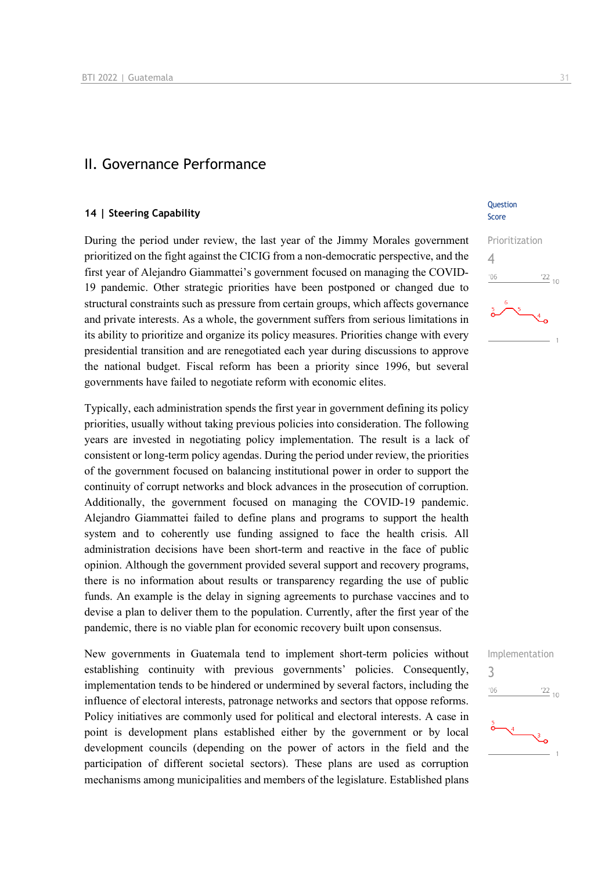### II. Governance Performance

#### **14 | Steering Capability**

During the period under review, the last year of the Jimmy Morales government prioritized on the fight against the CICIG from a non-democratic perspective, and the first year of Alejandro Giammattei's government focused on managing the COVID-19 pandemic. Other strategic priorities have been postponed or changed due to structural constraints such as pressure from certain groups, which affects governance and private interests. As a whole, the government suffers from serious limitations in its ability to prioritize and organize its policy measures. Priorities change with every presidential transition and are renegotiated each year during discussions to approve the national budget. Fiscal reform has been a priority since 1996, but several governments have failed to negotiate reform with economic elites.

Typically, each administration spends the first year in government defining its policy priorities, usually without taking previous policies into consideration. The following years are invested in negotiating policy implementation. The result is a lack of consistent or long-term policy agendas. During the period under review, the priorities of the government focused on balancing institutional power in order to support the continuity of corrupt networks and block advances in the prosecution of corruption. Additionally, the government focused on managing the COVID-19 pandemic. Alejandro Giammattei failed to define plans and programs to support the health system and to coherently use funding assigned to face the health crisis. All administration decisions have been short-term and reactive in the face of public opinion. Although the government provided several support and recovery programs, there is no information about results or transparency regarding the use of public funds. An example is the delay in signing agreements to purchase vaccines and to devise a plan to deliver them to the population. Currently, after the first year of the pandemic, there is no viable plan for economic recovery built upon consensus.

New governments in Guatemala tend to implement short-term policies without establishing continuity with previous governments' policies. Consequently, implementation tends to be hindered or undermined by several factors, including the influence of electoral interests, patronage networks and sectors that oppose reforms. Policy initiatives are commonly used for political and electoral interests. A case in point is development plans established either by the government or by local development councils (depending on the power of actors in the field and the participation of different societal sectors). These plans are used as corruption mechanisms among municipalities and members of the legislature. Established plans

**Ouestion** Score



Implementation 3 $\frac{22}{10}$  $n<sub>6</sub>$ 

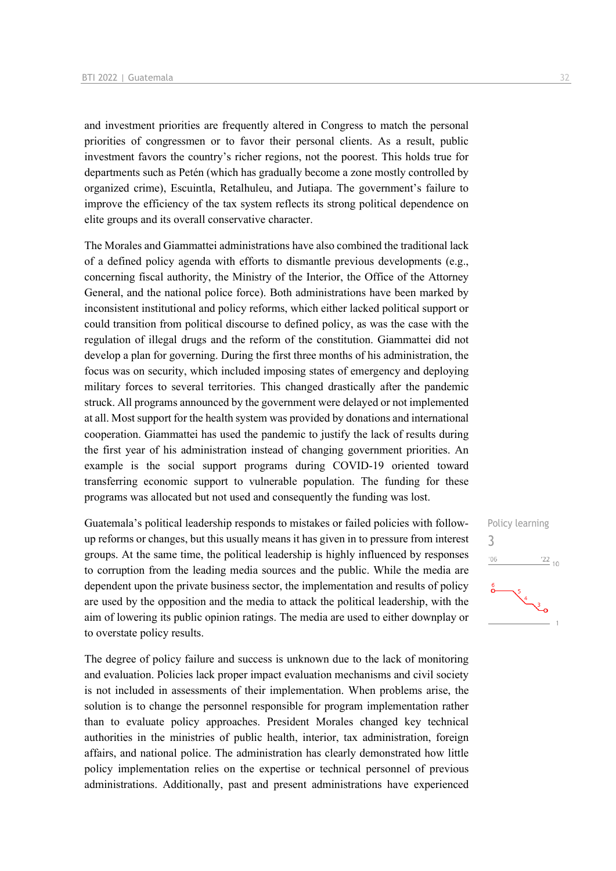and investment priorities are frequently altered in Congress to match the personal priorities of congressmen or to favor their personal clients. As a result, public investment favors the country's richer regions, not the poorest. This holds true for departments such as Petén (which has gradually become a zone mostly controlled by organized crime), Escuintla, Retalhuleu, and Jutiapa. The government's failure to improve the efficiency of the tax system reflects its strong political dependence on elite groups and its overall conservative character.

The Morales and Giammattei administrations have also combined the traditional lack of a defined policy agenda with efforts to dismantle previous developments (e.g., concerning fiscal authority, the Ministry of the Interior, the Office of the Attorney General, and the national police force). Both administrations have been marked by inconsistent institutional and policy reforms, which either lacked political support or could transition from political discourse to defined policy, as was the case with the regulation of illegal drugs and the reform of the constitution. Giammattei did not develop a plan for governing. During the first three months of his administration, the focus was on security, which included imposing states of emergency and deploying military forces to several territories. This changed drastically after the pandemic struck. All programs announced by the government were delayed or not implemented at all. Most support for the health system was provided by donations and international cooperation. Giammattei has used the pandemic to justify the lack of results during the first year of his administration instead of changing government priorities. An example is the social support programs during COVID-19 oriented toward transferring economic support to vulnerable population. The funding for these programs was allocated but not used and consequently the funding was lost.

Guatemala's political leadership responds to mistakes or failed policies with followup reforms or changes, but this usually means it has given in to pressure from interest groups. At the same time, the political leadership is highly influenced by responses to corruption from the leading media sources and the public. While the media are dependent upon the private business sector, the implementation and results of policy are used by the opposition and the media to attack the political leadership, with the aim of lowering its public opinion ratings. The media are used to either downplay or to overstate policy results.

The degree of policy failure and success is unknown due to the lack of monitoring and evaluation. Policies lack proper impact evaluation mechanisms and civil society is not included in assessments of their implementation. When problems arise, the solution is to change the personnel responsible for program implementation rather than to evaluate policy approaches. President Morales changed key technical authorities in the ministries of public health, interior, tax administration, foreign affairs, and national police. The administration has clearly demonstrated how little policy implementation relies on the expertise or technical personnel of previous administrations. Additionally, past and present administrations have experienced

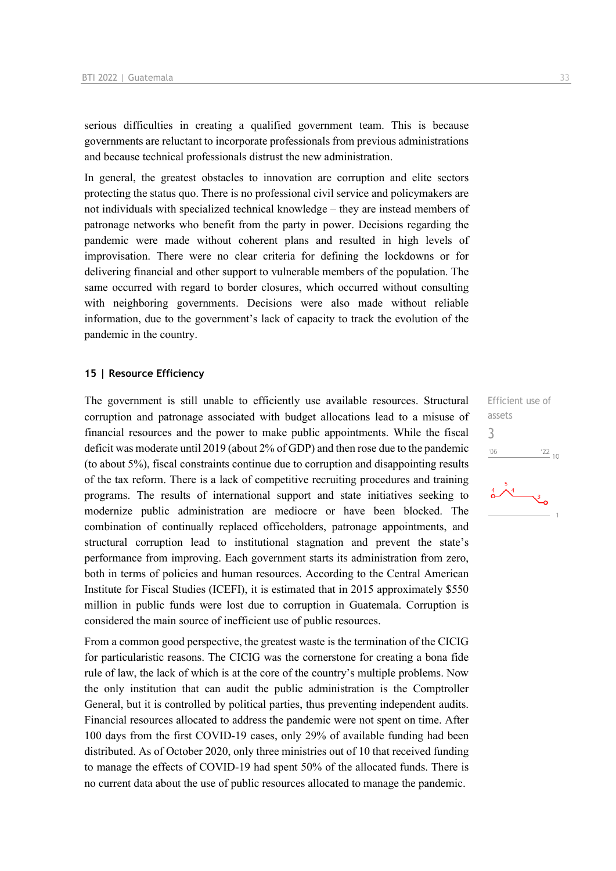serious difficulties in creating a qualified government team. This is because governments are reluctant to incorporate professionals from previous administrations and because technical professionals distrust the new administration.

In general, the greatest obstacles to innovation are corruption and elite sectors protecting the status quo. There is no professional civil service and policymakers are not individuals with specialized technical knowledge – they are instead members of patronage networks who benefit from the party in power. Decisions regarding the pandemic were made without coherent plans and resulted in high levels of improvisation. There were no clear criteria for defining the lockdowns or for delivering financial and other support to vulnerable members of the population. The same occurred with regard to border closures, which occurred without consulting with neighboring governments. Decisions were also made without reliable information, due to the government's lack of capacity to track the evolution of the pandemic in the country.

#### **15 | Resource Efficiency**

The government is still unable to efficiently use available resources. Structural corruption and patronage associated with budget allocations lead to a misuse of financial resources and the power to make public appointments. While the fiscal deficit was moderate until 2019 (about 2% of GDP) and then rose due to the pandemic (to about 5%), fiscal constraints continue due to corruption and disappointing results of the tax reform. There is a lack of competitive recruiting procedures and training programs. The results of international support and state initiatives seeking to modernize public administration are mediocre or have been blocked. The combination of continually replaced officeholders, patronage appointments, and structural corruption lead to institutional stagnation and prevent the state's performance from improving. Each government starts its administration from zero, both in terms of policies and human resources. According to the Central American Institute for Fiscal Studies (ICEFI), it is estimated that in 2015 approximately \$550 million in public funds were lost due to corruption in Guatemala. Corruption is considered the main source of inefficient use of public resources.

From a common good perspective, the greatest waste is the termination of the CICIG for particularistic reasons. The CICIG was the cornerstone for creating a bona fide rule of law, the lack of which is at the core of the country's multiple problems. Now the only institution that can audit the public administration is the Comptroller General, but it is controlled by political parties, thus preventing independent audits. Financial resources allocated to address the pandemic were not spent on time. After 100 days from the first COVID-19 cases, only 29% of available funding had been distributed. As of October 2020, only three ministries out of 10 that received funding to manage the effects of COVID-19 had spent 50% of the allocated funds. There is no current data about the use of public resources allocated to manage the pandemic.

Efficient use of assets 3 $06'$  $\frac{22}{10}$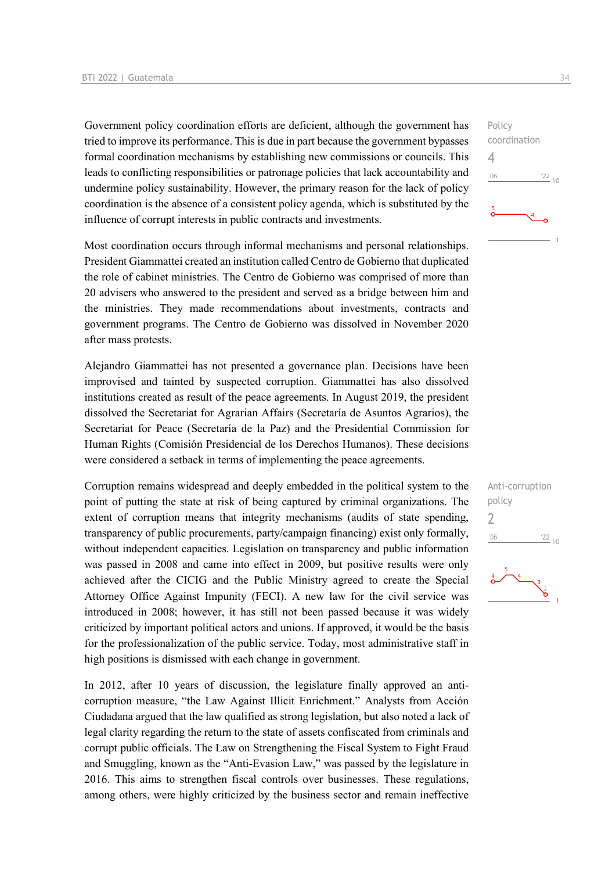Government policy coordination efforts are deficient, although the government has tried to improve its performance. This is due in part because the government bypasses formal coordination mechanisms by establishing new commissions or councils. This leads to conflicting responsibilities or patronage policies that lack accountability and undermine policy sustainability. However, the primary reason for the lack of policy coordination is the absence of a consistent policy agenda, which is substituted by the influence of corrupt interests in public contracts and investments.

Most coordination occurs through informal mechanisms and personal relationships. President Giammattei created an institution called Centro de Gobierno that duplicated the role of cabinet ministries. The Centro de Gobierno was comprised of more than 20 advisers who answered to the president and served as a bridge between him and the ministries. They made recommendations about investments, contracts and government programs. The Centro de Gobierno was dissolved in November 2020 after mass protests.

Alejandro Giammattei has not presented a governance plan. Decisions have been improvised and tainted by suspected corruption. Giammattei has also dissolved institutions created as result of the peace agreements. In August 2019, the president dissolved the Secretariat for Agrarian Affairs (Secretaría de Asuntos Agrarios), the Secretariat for Peace (Secretaría de la Paz) and the Presidential Commission for Human Rights (Comisión Presidencial de los Derechos Humanos). These decisions were considered a setback in terms of implementing the peace agreements.

Corruption remains widespread and deeply embedded in the political system to the point of putting the state at risk of being captured by criminal organizations. The extent of corruption means that integrity mechanisms (audits of state spending, transparency of public procurements, party/campaign financing) exist only formally, without independent capacities. Legislation on transparency and public information was passed in 2008 and came into effect in 2009, but positive results were only achieved after the CICIG and the Public Ministry agreed to create the Special Attorney Office Against Impunity (FECI). A new law for the civil service was introduced in 2008; however, it has still not been passed because it was widely criticized by important political actors and unions. If approved, it would be the basis for the professionalization of the public service. Today, most administrative staff in high positions is dismissed with each change in government.

In 2012, after 10 years of discussion, the legislature finally approved an anticorruption measure, "the Law Against Illicit Enrichment." Analysts from Acción Ciudadana argued that the law qualified as strong legislation, but also noted a lack of legal clarity regarding the return to the state of assets confiscated from criminals and corrupt public officials. The Law on Strengthening the Fiscal System to Fight Fraud and Smuggling, known as the "Anti-Evasion Law," was passed by the legislature in 2016. This aims to strengthen fiscal controls over businesses. These regulations, among others, were highly criticized by the business sector and remain ineffective





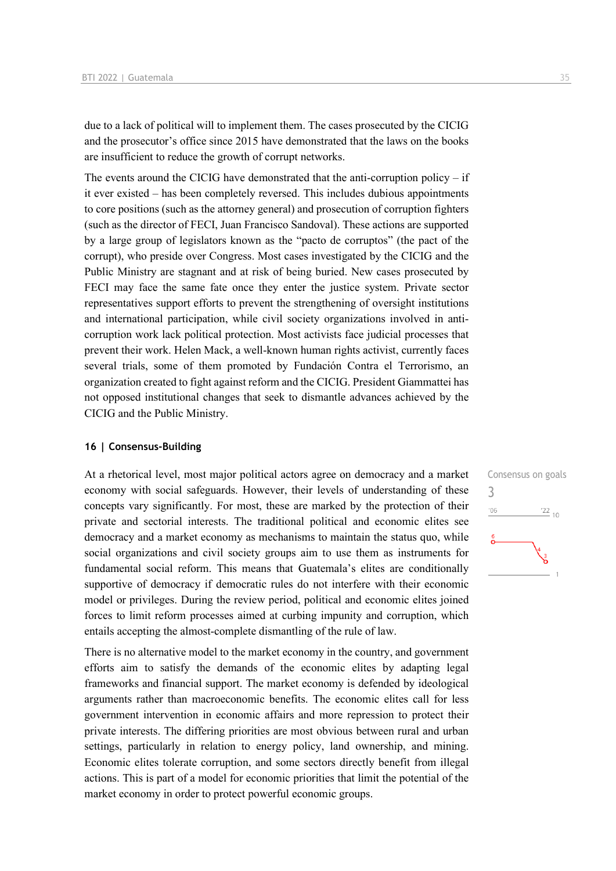due to a lack of political will to implement them. The cases prosecuted by the CICIG and the prosecutor's office since 2015 have demonstrated that the laws on the books are insufficient to reduce the growth of corrupt networks.

The events around the CICIG have demonstrated that the anti-corruption policy  $-$  if it ever existed – has been completely reversed. This includes dubious appointments to core positions (such as the attorney general) and prosecution of corruption fighters (such as the director of FECI, Juan Francisco Sandoval). These actions are supported by a large group of legislators known as the "pacto de corruptos" (the pact of the corrupt), who preside over Congress. Most cases investigated by the CICIG and the Public Ministry are stagnant and at risk of being buried. New cases prosecuted by FECI may face the same fate once they enter the justice system. Private sector representatives support efforts to prevent the strengthening of oversight institutions and international participation, while civil society organizations involved in anticorruption work lack political protection. Most activists face judicial processes that prevent their work. Helen Mack, a well-known human rights activist, currently faces several trials, some of them promoted by Fundación Contra el Terrorismo, an organization created to fight against reform and the CICIG. President Giammattei has not opposed institutional changes that seek to dismantle advances achieved by the CICIG and the Public Ministry.

#### **16 | Consensus-Building**

At a rhetorical level, most major political actors agree on democracy and a market economy with social safeguards. However, their levels of understanding of these concepts vary significantly. For most, these are marked by the protection of their private and sectorial interests. The traditional political and economic elites see democracy and a market economy as mechanisms to maintain the status quo, while social organizations and civil society groups aim to use them as instruments for fundamental social reform. This means that Guatemala's elites are conditionally supportive of democracy if democratic rules do not interfere with their economic model or privileges. During the review period, political and economic elites joined forces to limit reform processes aimed at curbing impunity and corruption, which entails accepting the almost-complete dismantling of the rule of law.

There is no alternative model to the market economy in the country, and government efforts aim to satisfy the demands of the economic elites by adapting legal frameworks and financial support. The market economy is defended by ideological arguments rather than macroeconomic benefits. The economic elites call for less government intervention in economic affairs and more repression to protect their private interests. The differing priorities are most obvious between rural and urban settings, particularly in relation to energy policy, land ownership, and mining. Economic elites tolerate corruption, and some sectors directly benefit from illegal actions. This is part of a model for economic priorities that limit the potential of the market economy in order to protect powerful economic groups.

Consensus on goals 3'06  $^{22}$  10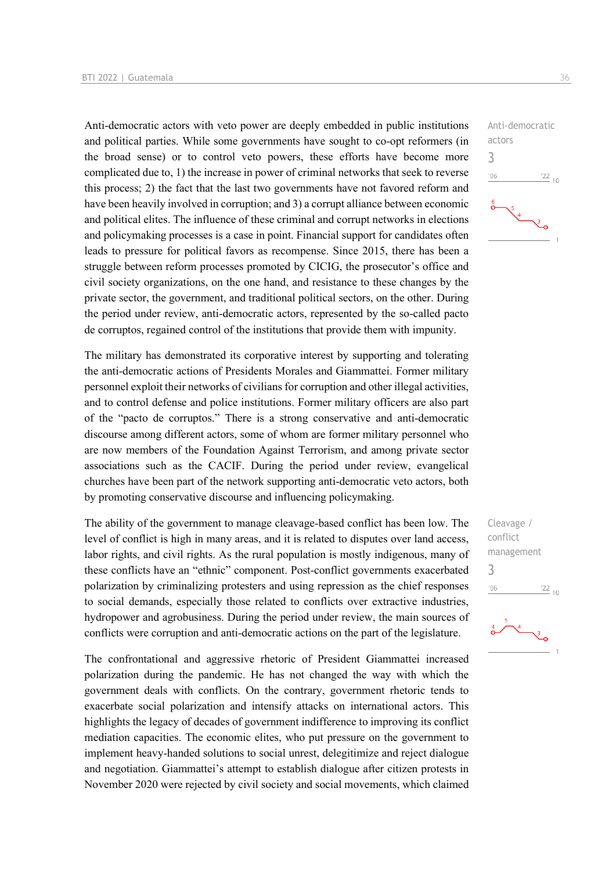Anti-democratic actors with veto power are deeply embedded in public institutions and political parties. While some governments have sought to co-opt reformers (in the broad sense) or to control veto powers, these efforts have become more complicated due to, 1) the increase in power of criminal networks that seek to reverse this process; 2) the fact that the last two governments have not favored reform and have been heavily involved in corruption; and 3) a corrupt alliance between economic and political elites. The influence of these criminal and corrupt networks in elections and policymaking processes is a case in point. Financial support for candidates often leads to pressure for political favors as recompense. Since 2015, there has been a struggle between reform processes promoted by CICIG, the prosecutor's office and civil society organizations, on the one hand, and resistance to these changes by the private sector, the government, and traditional political sectors, on the other. During the period under review, anti-democratic actors, represented by the so-called pacto de corruptos, regained control of the institutions that provide them with impunity.

The military has demonstrated its corporative interest by supporting and tolerating the anti-democratic actions of Presidents Morales and Giammattei. Former military personnel exploit their networks of civilians for corruption and other illegal activities, and to control defense and police institutions. Former military officers are also part of the "pacto de corruptos." There is a strong conservative and anti-democratic discourse among different actors, some of whom are former military personnel who are now members of the Foundation Against Terrorism, and among private sector associations such as the CACIF. During the period under review, evangelical churches have been part of the network supporting anti-democratic veto actors, both by promoting conservative discourse and influencing policymaking.

The ability of the government to manage cleavage-based conflict has been low. The level of conflict is high in many areas, and it is related to disputes over land access, labor rights, and civil rights. As the rural population is mostly indigenous, many of these conflicts have an "ethnic" component. Post-conflict governments exacerbated polarization by criminalizing protesters and using repression as the chief responses to social demands, especially those related to conflicts over extractive industries, hydropower and agrobusiness. During the period under review, the main sources of conflicts were corruption and anti-democratic actions on the part of the legislature.

The confrontational and aggressive rhetoric of President Giammattei increased polarization during the pandemic. He has not changed the way with which the government deals with conflicts. On the contrary, government rhetoric tends to exacerbate social polarization and intensify attacks on international actors. This highlights the legacy of decades of government indifference to improving its conflict mediation capacities. The economic elites, who put pressure on the government to implement heavy-handed solutions to social unrest, delegitimize and reject dialogue and negotiation. Giammattei's attempt to establish dialogue after citizen protests in November 2020 were rejected by civil society and social movements, which claimed

Anti-democratic actors 3  $-06$  $\frac{22}{10}$ 

Cleavage / conflict management 3 $\frac{22}{10}$  $106$ 

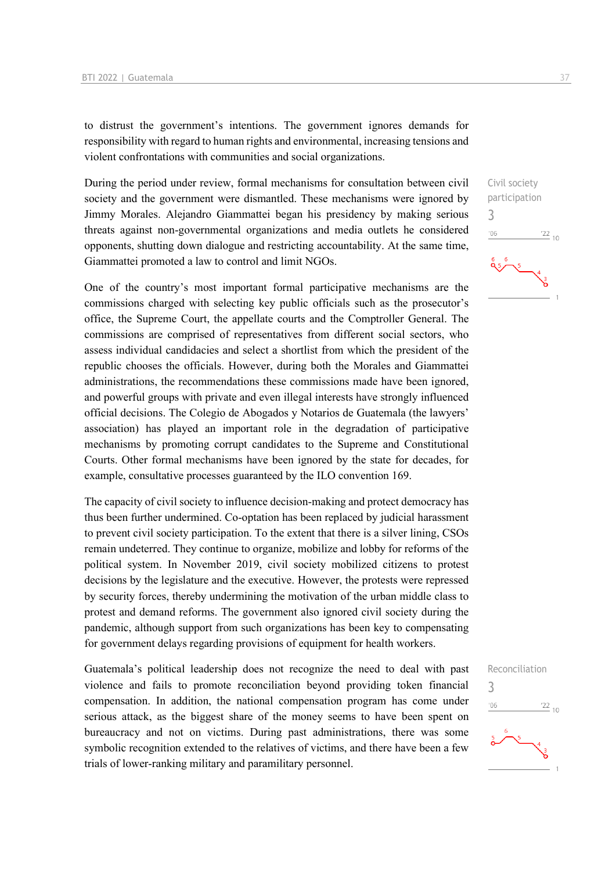to distrust the government's intentions. The government ignores demands for responsibility with regard to human rights and environmental, increasing tensions and violent confrontations with communities and social organizations.

During the period under review, formal mechanisms for consultation between civil society and the government were dismantled. These mechanisms were ignored by Jimmy Morales. Alejandro Giammattei began his presidency by making serious threats against non-governmental organizations and media outlets he considered opponents, shutting down dialogue and restricting accountability. At the same time, Giammattei promoted a law to control and limit NGOs.

One of the country's most important formal participative mechanisms are the commissions charged with selecting key public officials such as the prosecutor's office, the Supreme Court, the appellate courts and the Comptroller General. The commissions are comprised of representatives from different social sectors, who assess individual candidacies and select a shortlist from which the president of the republic chooses the officials. However, during both the Morales and Giammattei administrations, the recommendations these commissions made have been ignored, and powerful groups with private and even illegal interests have strongly influenced official decisions. The Colegio de Abogados y Notarios de Guatemala (the lawyers' association) has played an important role in the degradation of participative mechanisms by promoting corrupt candidates to the Supreme and Constitutional Courts. Other formal mechanisms have been ignored by the state for decades, for example, consultative processes guaranteed by the ILO convention 169.

The capacity of civil society to influence decision-making and protect democracy has thus been further undermined. Co-optation has been replaced by judicial harassment to prevent civil society participation. To the extent that there is a silver lining, CSOs remain undeterred. They continue to organize, mobilize and lobby for reforms of the political system. In November 2019, civil society mobilized citizens to protest decisions by the legislature and the executive. However, the protests were repressed by security forces, thereby undermining the motivation of the urban middle class to protest and demand reforms. The government also ignored civil society during the pandemic, although support from such organizations has been key to compensating for government delays regarding provisions of equipment for health workers.

Guatemala's political leadership does not recognize the need to deal with past violence and fails to promote reconciliation beyond providing token financial compensation. In addition, the national compensation program has come under serious attack, as the biggest share of the money seems to have been spent on bureaucracy and not on victims. During past administrations, there was some symbolic recognition extended to the relatives of victims, and there have been a few trials of lower-ranking military and paramilitary personnel.



Reconciliation

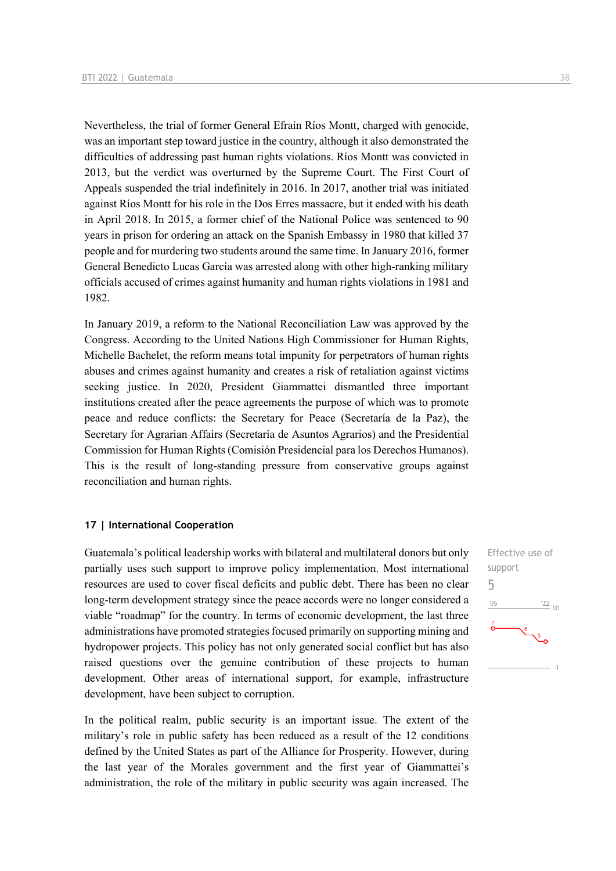Nevertheless, the trial of former General Efraín Ríos Montt, charged with genocide, was an important step toward justice in the country, although it also demonstrated the difficulties of addressing past human rights violations. Ríos Montt was convicted in 2013, but the verdict was overturned by the Supreme Court. The First Court of Appeals suspended the trial indefinitely in 2016. In 2017, another trial was initiated against Ríos Montt for his role in the Dos Erres massacre, but it ended with his death in April 2018. In 2015, a former chief of the National Police was sentenced to 90 years in prison for ordering an attack on the Spanish Embassy in 1980 that killed 37 people and for murdering two students around the same time. In January 2016, former General Benedicto Lucas García was arrested along with other high-ranking military officials accused of crimes against humanity and human rights violations in 1981 and 1982.

In January 2019, a reform to the National Reconciliation Law was approved by the Congress. According to the United Nations High Commissioner for Human Rights, Michelle Bachelet, the reform means total impunity for perpetrators of human rights abuses and crimes against humanity and creates a risk of retaliation against victims seeking justice. In 2020, President Giammattei dismantled three important institutions created after the peace agreements the purpose of which was to promote peace and reduce conflicts: the Secretary for Peace (Secretaría de la Paz), the Secretary for Agrarian Affairs (Secretaría de Asuntos Agrarios) and the Presidential Commission for Human Rights (Comisión Presidencial para los Derechos Humanos). This is the result of long-standing pressure from conservative groups against reconciliation and human rights.

#### **17 | International Cooperation**

Guatemala's political leadership works with bilateral and multilateral donors but only partially uses such support to improve policy implementation. Most international resources are used to cover fiscal deficits and public debt. There has been no clear long-term development strategy since the peace accords were no longer considered a viable "roadmap" for the country. In terms of economic development, the last three administrations have promoted strategies focused primarily on supporting mining and hydropower projects. This policy has not only generated social conflict but has also raised questions over the genuine contribution of these projects to human development. Other areas of international support, for example, infrastructure development, have been subject to corruption.

In the political realm, public security is an important issue. The extent of the military's role in public safety has been reduced as a result of the 12 conditions defined by the United States as part of the Alliance for Prosperity. However, during the last year of the Morales government and the first year of Giammattei's administration, the role of the military in public security was again increased. The

Effective use of support 5 $n<sub>6</sub>$  $^{22}$  10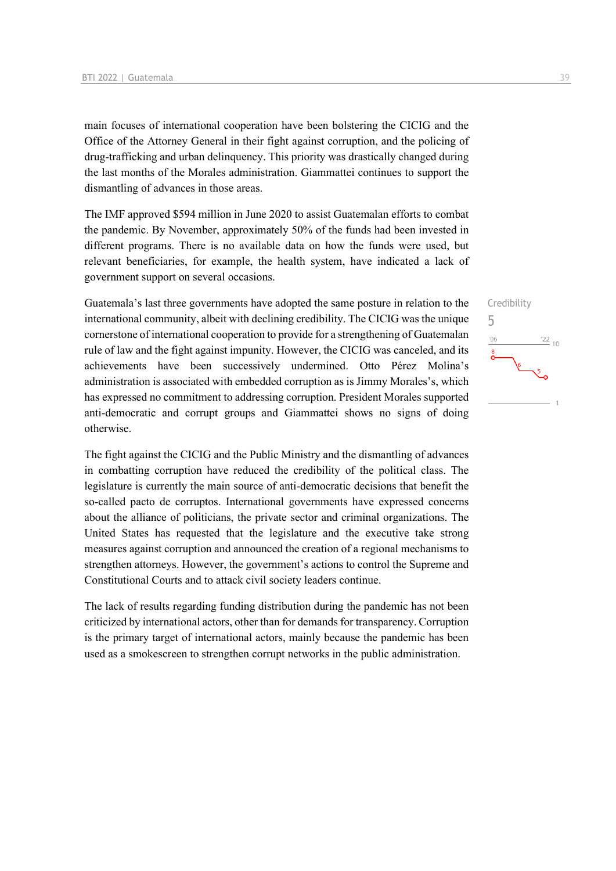main focuses of international cooperation have been bolstering the CICIG and the Office of the Attorney General in their fight against corruption, and the policing of drug-trafficking and urban delinquency. This priority was drastically changed during the last months of the Morales administration. Giammattei continues to support the dismantling of advances in those areas.

The IMF approved \$594 million in June 2020 to assist Guatemalan efforts to combat the pandemic. By November, approximately 50% of the funds had been invested in different programs. There is no available data on how the funds were used, but relevant beneficiaries, for example, the health system, have indicated a lack of government support on several occasions.

Guatemala's last three governments have adopted the same posture in relation to the international community, albeit with declining credibility. The CICIG was the unique cornerstone of international cooperation to provide for a strengthening of Guatemalan rule of law and the fight against impunity. However, the CICIG was canceled, and its achievements have been successively undermined. Otto Pérez Molina's administration is associated with embedded corruption as is Jimmy Morales's, which has expressed no commitment to addressing corruption. President Morales supported anti-democratic and corrupt groups and Giammattei shows no signs of doing otherwise.

The fight against the CICIG and the Public Ministry and the dismantling of advances in combatting corruption have reduced the credibility of the political class. The legislature is currently the main source of anti-democratic decisions that benefit the so-called pacto de corruptos. International governments have expressed concerns about the alliance of politicians, the private sector and criminal organizations. The United States has requested that the legislature and the executive take strong measures against corruption and announced the creation of a regional mechanisms to strengthen attorneys. However, the government's actions to control the Supreme and Constitutional Courts and to attack civil society leaders continue.

The lack of results regarding funding distribution during the pandemic has not been criticized by international actors, other than for demands for transparency. Corruption is the primary target of international actors, mainly because the pandemic has been used as a smokescreen to strengthen corrupt networks in the public administration.

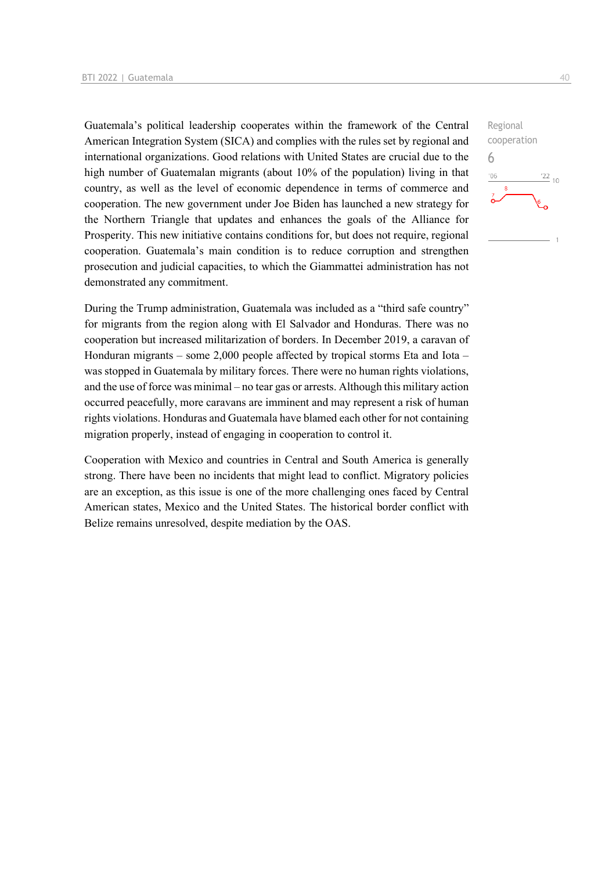Guatemala's political leadership cooperates within the framework of the Central American Integration System (SICA) and complies with the rules set by regional and international organizations. Good relations with United States are crucial due to the high number of Guatemalan migrants (about 10% of the population) living in that country, as well as the level of economic dependence in terms of commerce and cooperation. The new government under Joe Biden has launched a new strategy for the Northern Triangle that updates and enhances the goals of the Alliance for Prosperity. This new initiative contains conditions for, but does not require, regional cooperation. Guatemala's main condition is to reduce corruption and strengthen prosecution and judicial capacities, to which the Giammattei administration has not demonstrated any commitment.

During the Trump administration, Guatemala was included as a "third safe country" for migrants from the region along with El Salvador and Honduras. There was no cooperation but increased militarization of borders. In December 2019, a caravan of Honduran migrants – some 2,000 people affected by tropical storms Eta and Iota – was stopped in Guatemala by military forces. There were no human rights violations, and the use of force was minimal – no tear gas or arrests. Although this military action occurred peacefully, more caravans are imminent and may represent a risk of human rights violations. Honduras and Guatemala have blamed each other for not containing migration properly, instead of engaging in cooperation to control it.

Cooperation with Mexico and countries in Central and South America is generally strong. There have been no incidents that might lead to conflict. Migratory policies are an exception, as this issue is one of the more challenging ones faced by Central American states, Mexico and the United States. The historical border conflict with Belize remains unresolved, despite mediation by the OAS.

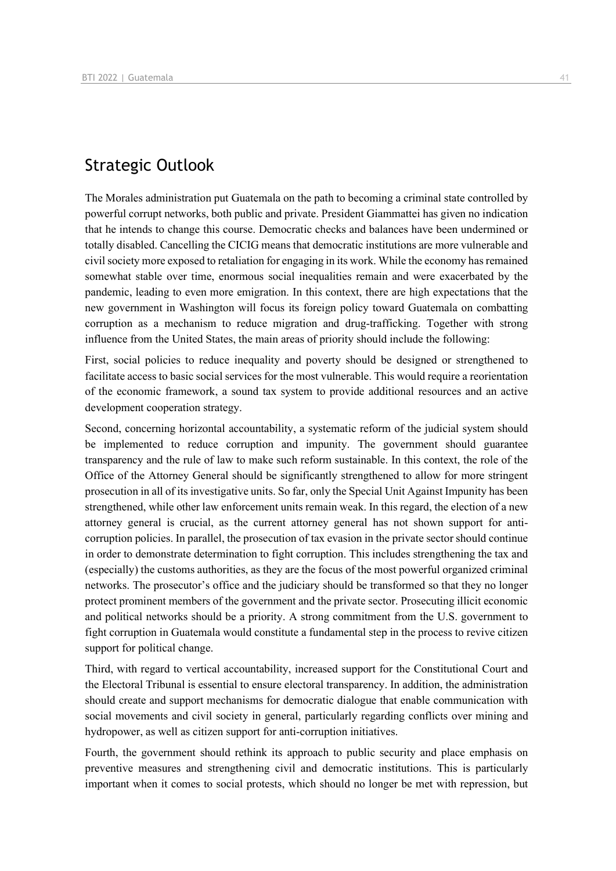## Strategic Outlook

The Morales administration put Guatemala on the path to becoming a criminal state controlled by powerful corrupt networks, both public and private. President Giammattei has given no indication that he intends to change this course. Democratic checks and balances have been undermined or totally disabled. Cancelling the CICIG means that democratic institutions are more vulnerable and civil society more exposed to retaliation for engaging in its work. While the economy has remained somewhat stable over time, enormous social inequalities remain and were exacerbated by the pandemic, leading to even more emigration. In this context, there are high expectations that the new government in Washington will focus its foreign policy toward Guatemala on combatting corruption as a mechanism to reduce migration and drug-trafficking. Together with strong influence from the United States, the main areas of priority should include the following:

First, social policies to reduce inequality and poverty should be designed or strengthened to facilitate access to basic social services for the most vulnerable. This would require a reorientation of the economic framework, a sound tax system to provide additional resources and an active development cooperation strategy.

Second, concerning horizontal accountability, a systematic reform of the judicial system should be implemented to reduce corruption and impunity. The government should guarantee transparency and the rule of law to make such reform sustainable. In this context, the role of the Office of the Attorney General should be significantly strengthened to allow for more stringent prosecution in all of its investigative units. So far, only the Special Unit Against Impunity has been strengthened, while other law enforcement units remain weak. In this regard, the election of a new attorney general is crucial, as the current attorney general has not shown support for anticorruption policies. In parallel, the prosecution of tax evasion in the private sector should continue in order to demonstrate determination to fight corruption. This includes strengthening the tax and (especially) the customs authorities, as they are the focus of the most powerful organized criminal networks. The prosecutor's office and the judiciary should be transformed so that they no longer protect prominent members of the government and the private sector. Prosecuting illicit economic and political networks should be a priority. A strong commitment from the U.S. government to fight corruption in Guatemala would constitute a fundamental step in the process to revive citizen support for political change.

Third, with regard to vertical accountability, increased support for the Constitutional Court and the Electoral Tribunal is essential to ensure electoral transparency. In addition, the administration should create and support mechanisms for democratic dialogue that enable communication with social movements and civil society in general, particularly regarding conflicts over mining and hydropower, as well as citizen support for anti-corruption initiatives.

Fourth, the government should rethink its approach to public security and place emphasis on preventive measures and strengthening civil and democratic institutions. This is particularly important when it comes to social protests, which should no longer be met with repression, but